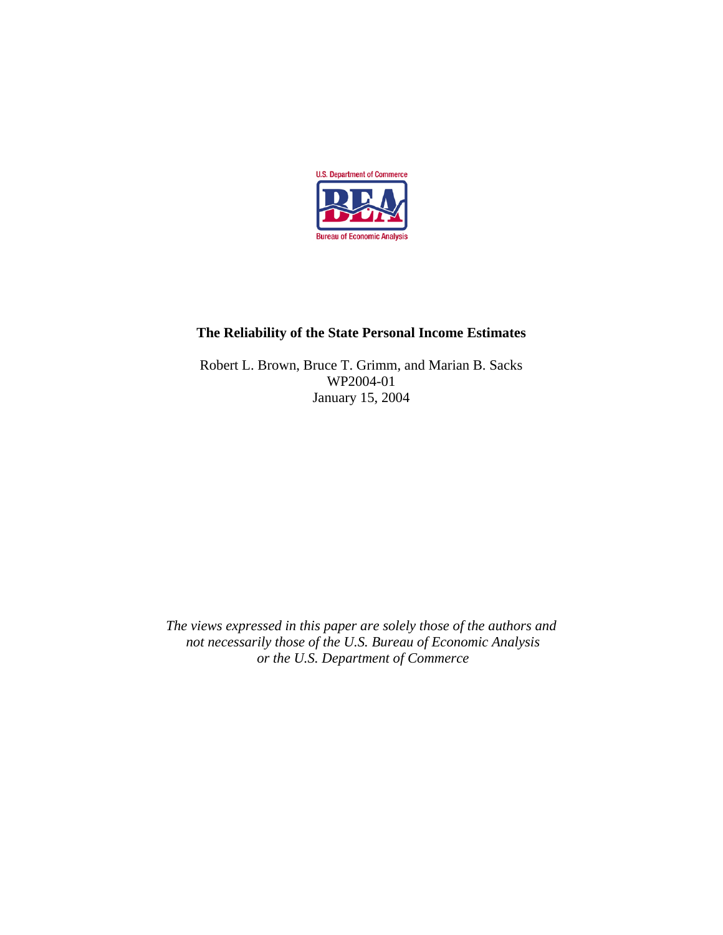

# **The Reliability of the State Personal Income Estimates**

Robert L. Brown, Bruce T. Grimm, and Marian B. Sacks WP2004-01 January 15, 2004

*The views expressed in this paper are solely those of the authors and not necessarily those of the U.S. Bureau of Economic Analysis or the U.S. Department of Commerce*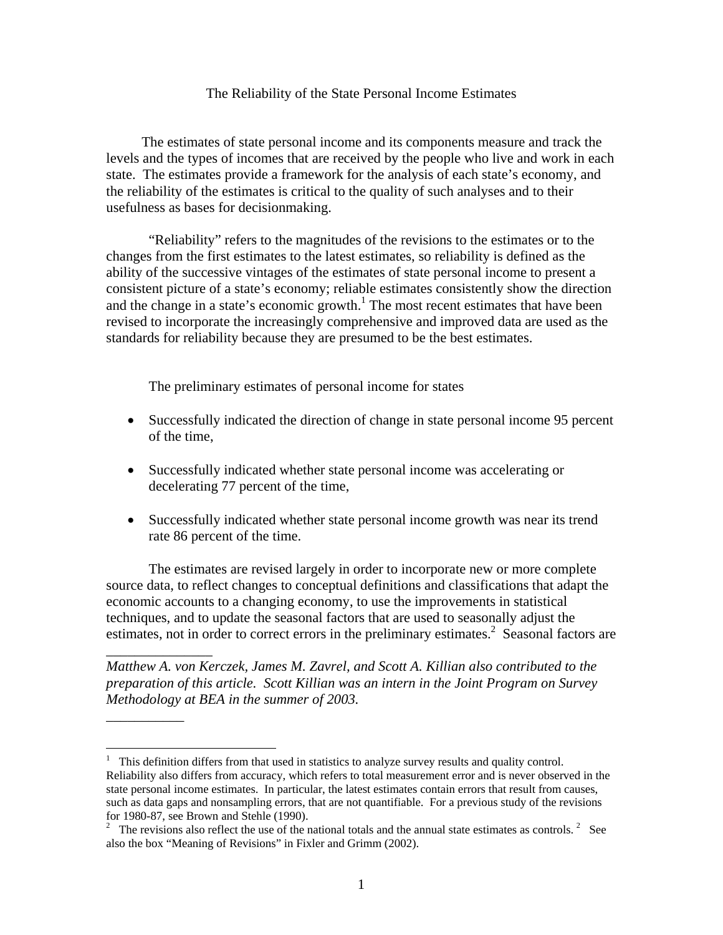## The Reliability of the State Personal Income Estimates

 The estimates of state personal income and its components measure and track the levels and the types of incomes that are received by the people who live and work in each state. The estimates provide a framework for the analysis of each state's economy, and the reliability of the estimates is critical to the quality of such analyses and to their usefulness as bases for decisionmaking.

"Reliability" refers to the magnitudes of the revisions to the estimates or to the changes from the first estimates to the latest estimates, so reliability is defined as the ability of the successive vintages of the estimates of state personal income to present a consistent picture of a state's economy; reliable estimates consistently show the direction and the change in a state's economic growth.<sup>1</sup> The most recent estimates that have been revised to incorporate the increasingly comprehensive and improved data are used as the standards for reliability because they are presumed to be the best estimates.

The preliminary estimates of personal income for states

\_\_\_\_\_\_\_\_\_\_\_\_\_\_\_

 $\overline{\phantom{a}}$ 

 $\overline{a}$ 

- Successfully indicated the direction of change in state personal income 95 percent of the time,
- Successfully indicated whether state personal income was accelerating or decelerating 77 percent of the time,
- Successfully indicated whether state personal income growth was near its trend rate 86 percent of the time.

 The estimates are revised largely in order to incorporate new or more complete source data, to reflect changes to conceptual definitions and classifications that adapt the economic accounts to a changing economy, to use the improvements in statistical techniques, and to update the seasonal factors that are used to seasonally adjust the estimates, not in order to correct errors in the preliminary estimates.<sup>2</sup> Seasonal factors are

*Matthew A. von Kerczek, James M. Zavrel, and Scott A. Killian also contributed to the preparation of this article. Scott Killian was an intern in the Joint Program on Survey Methodology at BEA in the summer of 2003.* 

 $1$  This definition differs from that used in statistics to analyze survey results and quality control. Reliability also differs from accuracy, which refers to total measurement error and is never observed in the state personal income estimates. In particular, the latest estimates contain errors that result from causes, such as data gaps and nonsampling errors, that are not quantifiable. For a previous study of the revisions for 1980-87, see Brown and Stehle (1990).

<sup>&</sup>lt;sup>2</sup> The revisions also reflect the use of the national totals and the annual state estimates as controls.<sup>2</sup> See also the box "Meaning of Revisions" in Fixler and Grimm (2002).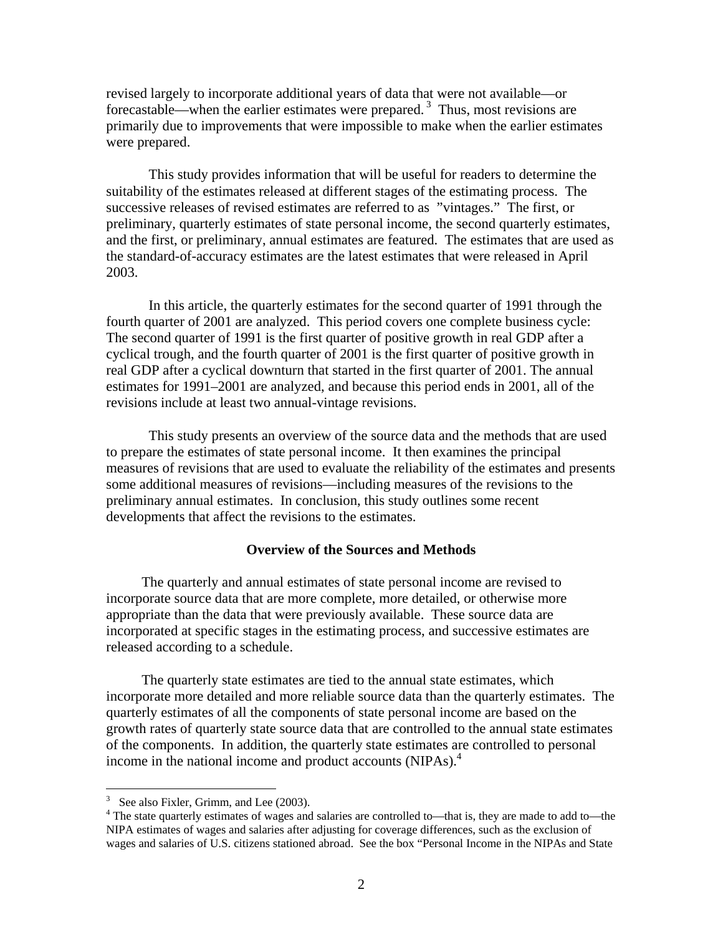revised largely to incorporate additional years of data that were not available—or forecastable—when the earlier estimates were prepared. 3 Thus, most revisions are primarily due to improvements that were impossible to make when the earlier estimates were prepared.

 This study provides information that will be useful for readers to determine the suitability of the estimates released at different stages of the estimating process. The successive releases of revised estimates are referred to as "vintages." The first, or preliminary, quarterly estimates of state personal income, the second quarterly estimates, and the first, or preliminary, annual estimates are featured. The estimates that are used as the standard-of-accuracy estimates are the latest estimates that were released in April 2003.

 In this article, the quarterly estimates for the second quarter of 1991 through the fourth quarter of 2001 are analyzed. This period covers one complete business cycle: The second quarter of 1991 is the first quarter of positive growth in real GDP after a cyclical trough, and the fourth quarter of 2001 is the first quarter of positive growth in real GDP after a cyclical downturn that started in the first quarter of 2001. The annual estimates for 1991–2001 are analyzed, and because this period ends in 2001, all of the revisions include at least two annual-vintage revisions.

This study presents an overview of the source data and the methods that are used to prepare the estimates of state personal income. It then examines the principal measures of revisions that are used to evaluate the reliability of the estimates and presents some additional measures of revisions—including measures of the revisions to the preliminary annual estimates. In conclusion, this study outlines some recent developments that affect the revisions to the estimates.

## **Overview of the Sources and Methods**

 The quarterly and annual estimates of state personal income are revised to incorporate source data that are more complete, more detailed, or otherwise more appropriate than the data that were previously available. These source data are incorporated at specific stages in the estimating process, and successive estimates are released according to a schedule.

 The quarterly state estimates are tied to the annual state estimates, which incorporate more detailed and more reliable source data than the quarterly estimates. The quarterly estimates of all the components of state personal income are based on the growth rates of quarterly state source data that are controlled to the annual state estimates of the components. In addition, the quarterly state estimates are controlled to personal income in the national income and product accounts (NIPAs).<sup>4</sup>

 $\overline{a}$ 

 $3\text{}$  See also Fixler, Grimm, and Lee (2003).

<sup>&</sup>lt;sup>4</sup> The state quarterly estimates of wages and salaries are controlled to—that is, they are made to add to—the NIPA estimates of wages and salaries after adjusting for coverage differences, such as the exclusion of wages and salaries of U.S. citizens stationed abroad. See the box "Personal Income in the NIPAs and State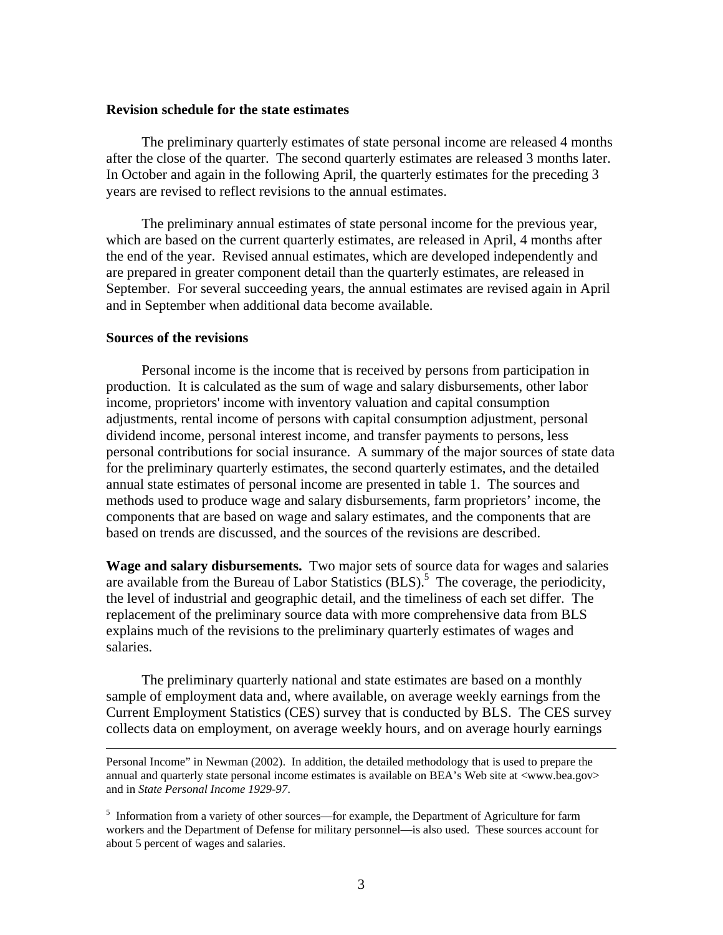### **Revision schedule for the state estimates**

 The preliminary quarterly estimates of state personal income are released 4 months after the close of the quarter. The second quarterly estimates are released 3 months later. In October and again in the following April, the quarterly estimates for the preceding 3 years are revised to reflect revisions to the annual estimates.

 The preliminary annual estimates of state personal income for the previous year, which are based on the current quarterly estimates, are released in April, 4 months after the end of the year. Revised annual estimates, which are developed independently and are prepared in greater component detail than the quarterly estimates, are released in September. For several succeeding years, the annual estimates are revised again in April and in September when additional data become available.

## **Sources of the revisions**

 Personal income is the income that is received by persons from participation in production. It is calculated as the sum of wage and salary disbursements, other labor income, proprietors' income with inventory valuation and capital consumption adjustments, rental income of persons with capital consumption adjustment, personal dividend income, personal interest income, and transfer payments to persons, less personal contributions for social insurance. A summary of the major sources of state data for the preliminary quarterly estimates, the second quarterly estimates, and the detailed annual state estimates of personal income are presented in table 1. The sources and methods used to produce wage and salary disbursements, farm proprietors' income, the components that are based on wage and salary estimates, and the components that are based on trends are discussed, and the sources of the revisions are described.

**Wage and salary disbursements.** Two major sets of source data for wages and salaries are available from the Bureau of Labor Statistics  $(BLS)$ .<sup>5</sup> The coverage, the periodicity, the level of industrial and geographic detail, and the timeliness of each set differ. The replacement of the preliminary source data with more comprehensive data from BLS explains much of the revisions to the preliminary quarterly estimates of wages and salaries.

 The preliminary quarterly national and state estimates are based on a monthly sample of employment data and, where available, on average weekly earnings from the Current Employment Statistics (CES) survey that is conducted by BLS. The CES survey collects data on employment, on average weekly hours, and on average hourly earnings

Personal Income" in Newman (2002). In addition, the detailed methodology that is used to prepare the annual and quarterly state personal income estimates is available on BEA's Web site at <www.bea.gov> and in *State Personal Income 1929-97*.

<sup>&</sup>lt;sup>5</sup> Information from a variety of other sources—for example, the Department of Agriculture for farm workers and the Department of Defense for military personnel—is also used. These sources account for about 5 percent of wages and salaries.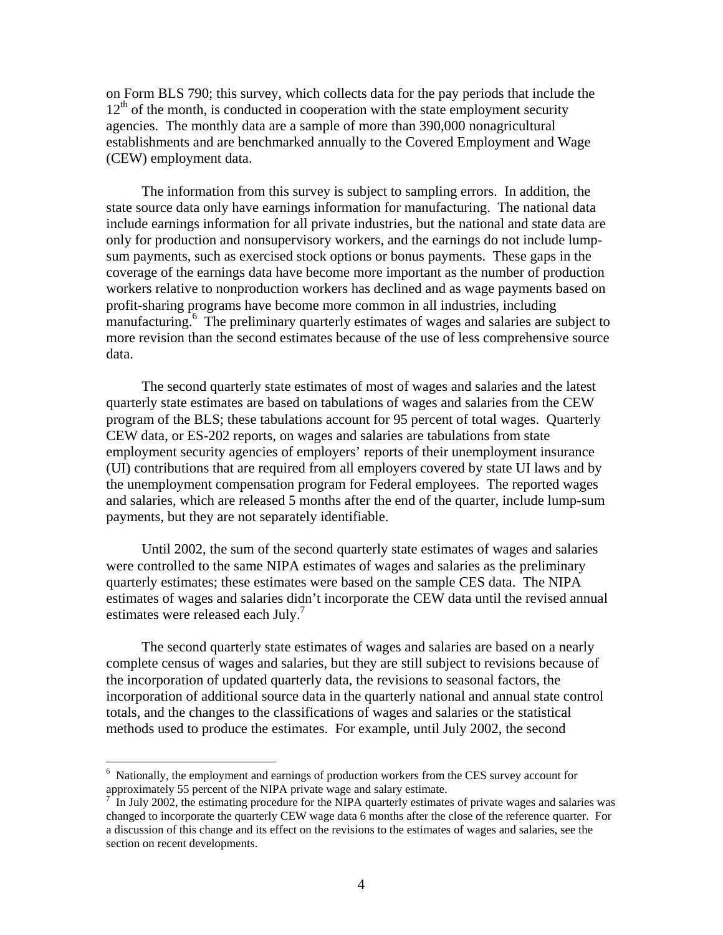on Form BLS 790; this survey, which collects data for the pay periods that include the  $12<sup>th</sup>$  of the month, is conducted in cooperation with the state employment security agencies. The monthly data are a sample of more than 390,000 nonagricultural establishments and are benchmarked annually to the Covered Employment and Wage (CEW) employment data.

 The information from this survey is subject to sampling errors. In addition, the state source data only have earnings information for manufacturing. The national data include earnings information for all private industries, but the national and state data are only for production and nonsupervisory workers, and the earnings do not include lumpsum payments, such as exercised stock options or bonus payments. These gaps in the coverage of the earnings data have become more important as the number of production workers relative to nonproduction workers has declined and as wage payments based on profit-sharing programs have become more common in all industries, including manufacturing.<sup>6</sup> The preliminary quarterly estimates of wages and salaries are subject to more revision than the second estimates because of the use of less comprehensive source data.

 The second quarterly state estimates of most of wages and salaries and the latest quarterly state estimates are based on tabulations of wages and salaries from the CEW program of the BLS; these tabulations account for 95 percent of total wages. Quarterly CEW data, or ES-202 reports, on wages and salaries are tabulations from state employment security agencies of employers' reports of their unemployment insurance (UI) contributions that are required from all employers covered by state UI laws and by the unemployment compensation program for Federal employees. The reported wages and salaries, which are released 5 months after the end of the quarter, include lump-sum payments, but they are not separately identifiable.

 Until 2002, the sum of the second quarterly state estimates of wages and salaries were controlled to the same NIPA estimates of wages and salaries as the preliminary quarterly estimates; these estimates were based on the sample CES data. The NIPA estimates of wages and salaries didn't incorporate the CEW data until the revised annual estimates were released each July.<sup>7</sup>

 The second quarterly state estimates of wages and salaries are based on a nearly complete census of wages and salaries, but they are still subject to revisions because of the incorporation of updated quarterly data, the revisions to seasonal factors, the incorporation of additional source data in the quarterly national and annual state control totals, and the changes to the classifications of wages and salaries or the statistical methods used to produce the estimates. For example, until July 2002, the second

1

<sup>&</sup>lt;sup>6</sup> Nationally, the employment and earnings of production workers from the CES survey account for approximately 55 percent of the NIPA private wage and salary estimate.

<sup>7</sup> In July 2002, the estimating procedure for the NIPA quarterly estimates of private wages and salaries was changed to incorporate the quarterly CEW wage data 6 months after the close of the reference quarter. For a discussion of this change and its effect on the revisions to the estimates of wages and salaries, see the section on recent developments.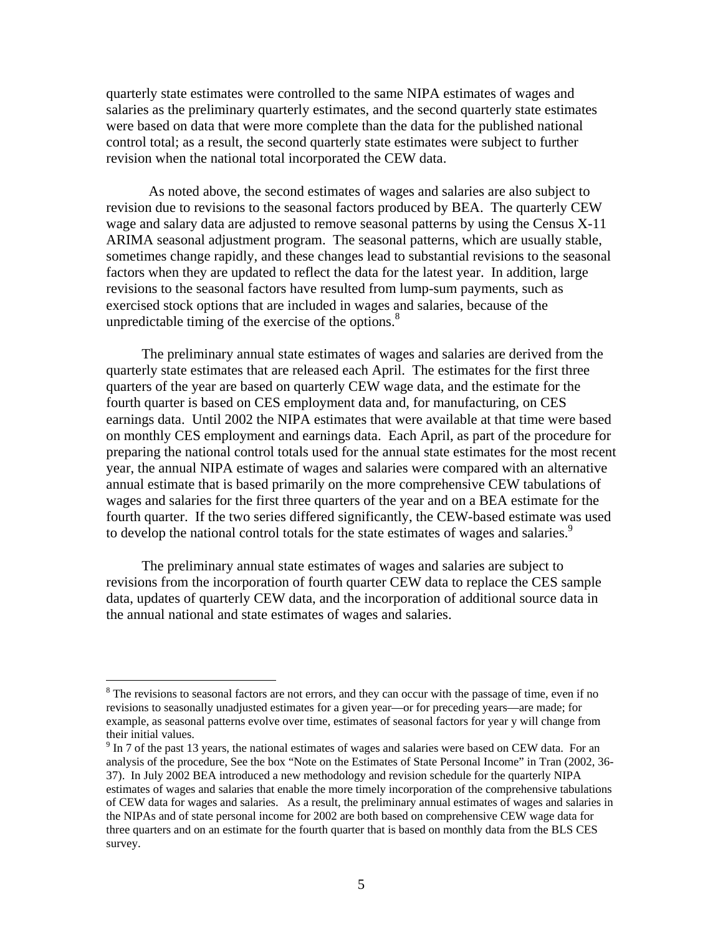quarterly state estimates were controlled to the same NIPA estimates of wages and salaries as the preliminary quarterly estimates, and the second quarterly state estimates were based on data that were more complete than the data for the published national control total; as a result, the second quarterly state estimates were subject to further revision when the national total incorporated the CEW data.

 As noted above, the second estimates of wages and salaries are also subject to revision due to revisions to the seasonal factors produced by BEA. The quarterly CEW wage and salary data are adjusted to remove seasonal patterns by using the Census X-11 ARIMA seasonal adjustment program. The seasonal patterns, which are usually stable, sometimes change rapidly, and these changes lead to substantial revisions to the seasonal factors when they are updated to reflect the data for the latest year. In addition, large revisions to the seasonal factors have resulted from lump-sum payments, such as exercised stock options that are included in wages and salaries, because of the unpredictable timing of the exercise of the options. $8$ 

 The preliminary annual state estimates of wages and salaries are derived from the quarterly state estimates that are released each April. The estimates for the first three quarters of the year are based on quarterly CEW wage data, and the estimate for the fourth quarter is based on CES employment data and, for manufacturing, on CES earnings data. Until 2002 the NIPA estimates that were available at that time were based on monthly CES employment and earnings data. Each April, as part of the procedure for preparing the national control totals used for the annual state estimates for the most recent year, the annual NIPA estimate of wages and salaries were compared with an alternative annual estimate that is based primarily on the more comprehensive CEW tabulations of wages and salaries for the first three quarters of the year and on a BEA estimate for the fourth quarter. If the two series differed significantly, the CEW-based estimate was used to develop the national control totals for the state estimates of wages and salaries.<sup>9</sup>

 The preliminary annual state estimates of wages and salaries are subject to revisions from the incorporation of fourth quarter CEW data to replace the CES sample data, updates of quarterly CEW data, and the incorporation of additional source data in the annual national and state estimates of wages and salaries.

 $\overline{a}$ 

<sup>&</sup>lt;sup>8</sup> The revisions to seasonal factors are not errors, and they can occur with the passage of time, even if no revisions to seasonally unadjusted estimates for a given year—or for preceding years—are made; for example, as seasonal patterns evolve over time, estimates of seasonal factors for year y will change from their initial values.

 $9 \text{ In } 7$  of the past 13 years, the national estimates of wages and salaries were based on CEW data. For an analysis of the procedure, See the box "Note on the Estimates of State Personal Income" in Tran (2002, 36- 37). In July 2002 BEA introduced a new methodology and revision schedule for the quarterly NIPA estimates of wages and salaries that enable the more timely incorporation of the comprehensive tabulations of CEW data for wages and salaries. As a result, the preliminary annual estimates of wages and salaries in the NIPAs and of state personal income for 2002 are both based on comprehensive CEW wage data for three quarters and on an estimate for the fourth quarter that is based on monthly data from the BLS CES survey.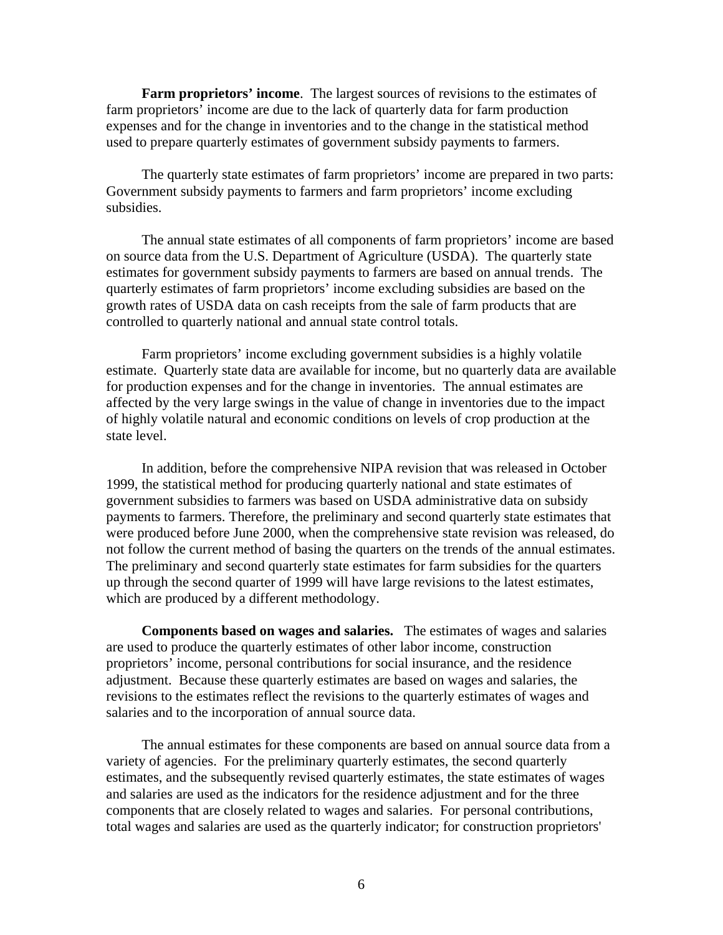**Farm proprietors' income**. The largest sources of revisions to the estimates of farm proprietors' income are due to the lack of quarterly data for farm production expenses and for the change in inventories and to the change in the statistical method used to prepare quarterly estimates of government subsidy payments to farmers.

The quarterly state estimates of farm proprietors' income are prepared in two parts: Government subsidy payments to farmers and farm proprietors' income excluding subsidies.

The annual state estimates of all components of farm proprietors' income are based on source data from the U.S. Department of Agriculture (USDA). The quarterly state estimates for government subsidy payments to farmers are based on annual trends. The quarterly estimates of farm proprietors' income excluding subsidies are based on the growth rates of USDA data on cash receipts from the sale of farm products that are controlled to quarterly national and annual state control totals.

 Farm proprietors' income excluding government subsidies is a highly volatile estimate. Quarterly state data are available for income, but no quarterly data are available for production expenses and for the change in inventories. The annual estimates are affected by the very large swings in the value of change in inventories due to the impact of highly volatile natural and economic conditions on levels of crop production at the state level.

 In addition, before the comprehensive NIPA revision that was released in October 1999, the statistical method for producing quarterly national and state estimates of government subsidies to farmers was based on USDA administrative data on subsidy payments to farmers. Therefore, the preliminary and second quarterly state estimates that were produced before June 2000, when the comprehensive state revision was released, do not follow the current method of basing the quarters on the trends of the annual estimates. The preliminary and second quarterly state estimates for farm subsidies for the quarters up through the second quarter of 1999 will have large revisions to the latest estimates, which are produced by a different methodology.

**Components based on wages and salaries.** The estimates of wages and salaries are used to produce the quarterly estimates of other labor income, construction proprietors' income, personal contributions for social insurance, and the residence adjustment. Because these quarterly estimates are based on wages and salaries, the revisions to the estimates reflect the revisions to the quarterly estimates of wages and salaries and to the incorporation of annual source data.

 The annual estimates for these components are based on annual source data from a variety of agencies. For the preliminary quarterly estimates, the second quarterly estimates, and the subsequently revised quarterly estimates, the state estimates of wages and salaries are used as the indicators for the residence adjustment and for the three components that are closely related to wages and salaries. For personal contributions, total wages and salaries are used as the quarterly indicator; for construction proprietors'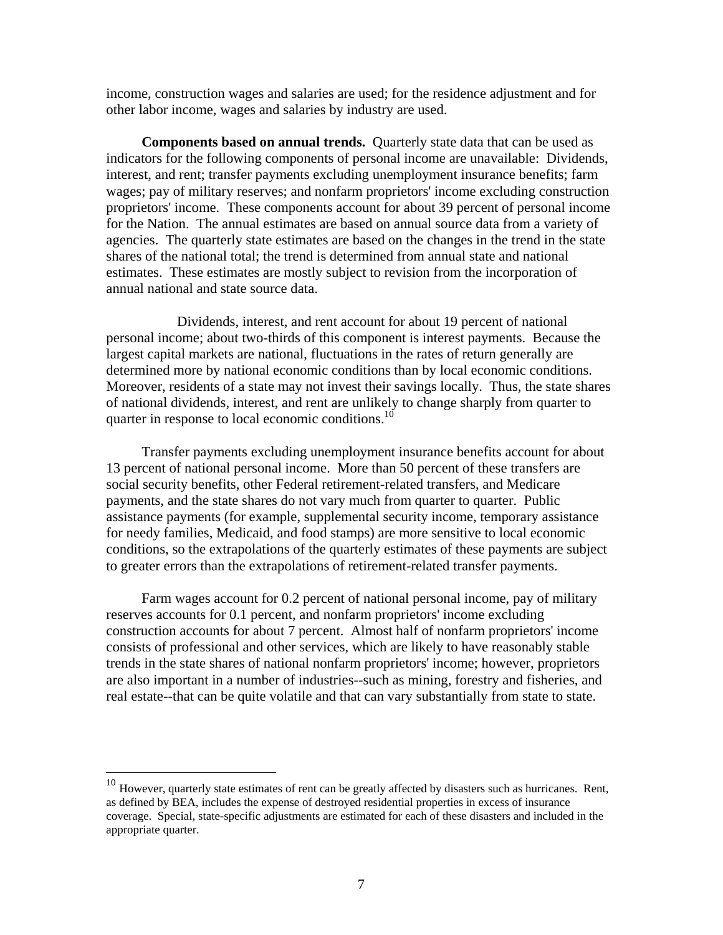income, construction wages and salaries are used; for the residence adjustment and for other labor income, wages and salaries by industry are used.

**Components based on annual trends.** Quarterly state data that can be used as indicators for the following components of personal income are unavailable: Dividends, interest, and rent; transfer payments excluding unemployment insurance benefits; farm wages; pay of military reserves; and nonfarm proprietors' income excluding construction proprietors' income. These components account for about 39 percent of personal income for the Nation. The annual estimates are based on annual source data from a variety of agencies. The quarterly state estimates are based on the changes in the trend in the state shares of the national total; the trend is determined from annual state and national estimates. These estimates are mostly subject to revision from the incorporation of annual national and state source data.

 Dividends, interest, and rent account for about 19 percent of national personal income; about two-thirds of this component is interest payments. Because the largest capital markets are national, fluctuations in the rates of return generally are determined more by national economic conditions than by local economic conditions. Moreover, residents of a state may not invest their savings locally. Thus, the state shares of national dividends, interest, and rent are unlikely to change sharply from quarter to quarter in response to local economic conditions.<sup>10</sup>

Transfer payments excluding unemployment insurance benefits account for about 13 percent of national personal income. More than 50 percent of these transfers are social security benefits, other Federal retirement-related transfers, and Medicare payments, and the state shares do not vary much from quarter to quarter. Public assistance payments (for example, supplemental security income, temporary assistance for needy families, Medicaid, and food stamps) are more sensitive to local economic conditions, so the extrapolations of the quarterly estimates of these payments are subject to greater errors than the extrapolations of retirement-related transfer payments.

Farm wages account for 0.2 percent of national personal income, pay of military reserves accounts for 0.1 percent, and nonfarm proprietors' income excluding construction accounts for about 7 percent. Almost half of nonfarm proprietors' income consists of professional and other services, which are likely to have reasonably stable trends in the state shares of national nonfarm proprietors' income; however, proprietors are also important in a number of industries--such as mining, forestry and fisheries, and real estate--that can be quite volatile and that can vary substantially from state to state.

 $\overline{a}$ 

 $10$  However, quarterly state estimates of rent can be greatly affected by disasters such as hurricanes. Rent, as defined by BEA, includes the expense of destroyed residential properties in excess of insurance coverage. Special, state-specific adjustments are estimated for each of these disasters and included in the appropriate quarter.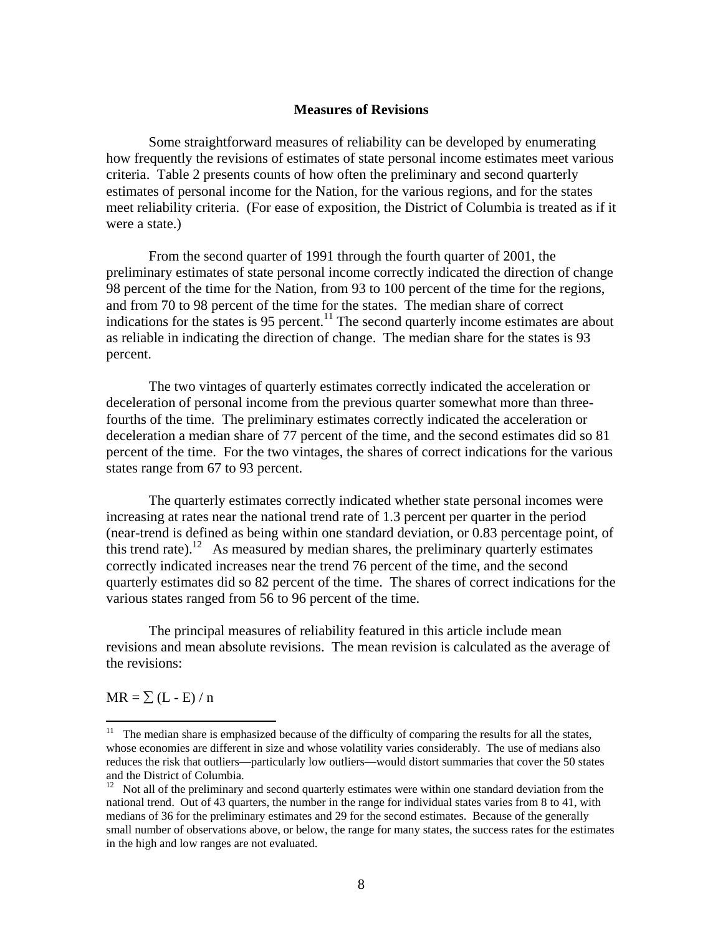## **Measures of Revisions**

Some straightforward measures of reliability can be developed by enumerating how frequently the revisions of estimates of state personal income estimates meet various criteria. Table 2 presents counts of how often the preliminary and second quarterly estimates of personal income for the Nation, for the various regions, and for the states meet reliability criteria. (For ease of exposition, the District of Columbia is treated as if it were a state.)

From the second quarter of 1991 through the fourth quarter of 2001, the preliminary estimates of state personal income correctly indicated the direction of change 98 percent of the time for the Nation, from 93 to 100 percent of the time for the regions, and from 70 to 98 percent of the time for the states. The median share of correct indications for the states is 95 percent.<sup>11</sup> The second quarterly income estimates are about as reliable in indicating the direction of change. The median share for the states is 93 percent.

 The two vintages of quarterly estimates correctly indicated the acceleration or deceleration of personal income from the previous quarter somewhat more than threefourths of the time. The preliminary estimates correctly indicated the acceleration or deceleration a median share of 77 percent of the time, and the second estimates did so 81 percent of the time. For the two vintages, the shares of correct indications for the various states range from 67 to 93 percent.

 The quarterly estimates correctly indicated whether state personal incomes were increasing at rates near the national trend rate of 1.3 percent per quarter in the period (near-trend is defined as being within one standard deviation, or 0.83 percentage point, of this trend rate).<sup>12</sup> As measured by median shares, the preliminary quarterly estimates correctly indicated increases near the trend 76 percent of the time, and the second quarterly estimates did so 82 percent of the time. The shares of correct indications for the various states ranged from 56 to 96 percent of the time.

The principal measures of reliability featured in this article include mean revisions and mean absolute revisions. The mean revision is calculated as the average of the revisions:

 $MR = \sum (L - E)/n$ 

 $\overline{a}$ 

 $11$  The median share is emphasized because of the difficulty of comparing the results for all the states, whose economies are different in size and whose volatility varies considerably. The use of medians also reduces the risk that outliers—particularly low outliers—would distort summaries that cover the 50 states and the District of Columbia.

<sup>&</sup>lt;sup>12</sup> Not all of the preliminary and second quarterly estimates were within one standard deviation from the national trend. Out of 43 quarters, the number in the range for individual states varies from 8 to 41, with medians of 36 for the preliminary estimates and 29 for the second estimates. Because of the generally small number of observations above, or below, the range for many states, the success rates for the estimates in the high and low ranges are not evaluated.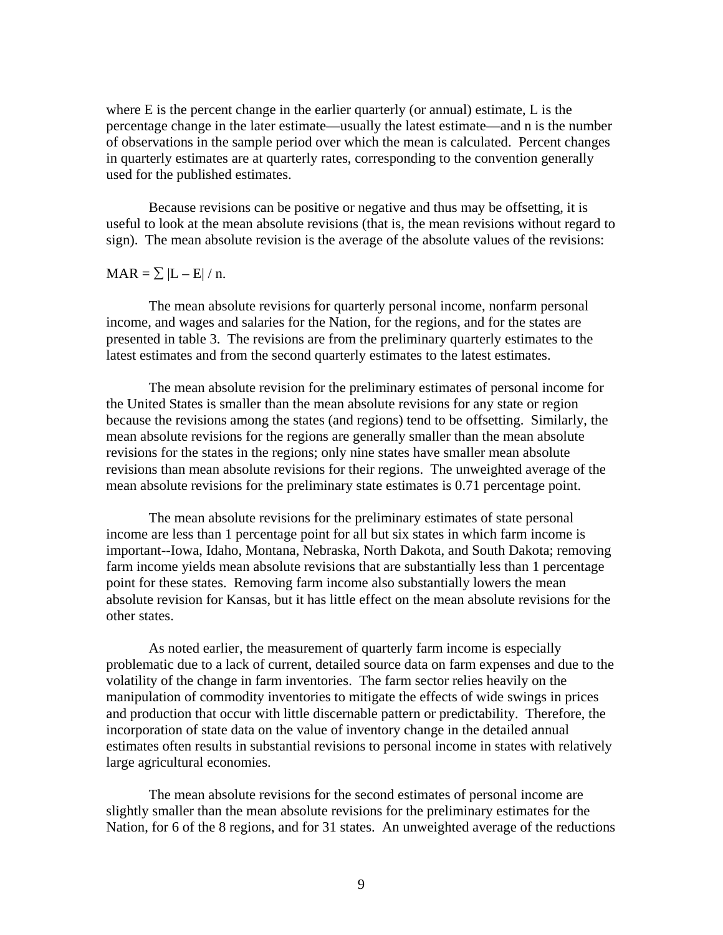where E is the percent change in the earlier quarterly (or annual) estimate, L is the percentage change in the later estimate—usually the latest estimate—and n is the number of observations in the sample period over which the mean is calculated. Percent changes in quarterly estimates are at quarterly rates, corresponding to the convention generally used for the published estimates.

Because revisions can be positive or negative and thus may be offsetting, it is useful to look at the mean absolute revisions (that is, the mean revisions without regard to sign). The mean absolute revision is the average of the absolute values of the revisions:

## $\text{MAR} = \sum |L - E| / n.$

 The mean absolute revisions for quarterly personal income, nonfarm personal income, and wages and salaries for the Nation, for the regions, and for the states are presented in table 3. The revisions are from the preliminary quarterly estimates to the latest estimates and from the second quarterly estimates to the latest estimates.

The mean absolute revision for the preliminary estimates of personal income for the United States is smaller than the mean absolute revisions for any state or region because the revisions among the states (and regions) tend to be offsetting. Similarly, the mean absolute revisions for the regions are generally smaller than the mean absolute revisions for the states in the regions; only nine states have smaller mean absolute revisions than mean absolute revisions for their regions. The unweighted average of the mean absolute revisions for the preliminary state estimates is 0.71 percentage point.

 The mean absolute revisions for the preliminary estimates of state personal income are less than 1 percentage point for all but six states in which farm income is important--Iowa, Idaho, Montana, Nebraska, North Dakota, and South Dakota; removing farm income yields mean absolute revisions that are substantially less than 1 percentage point for these states. Removing farm income also substantially lowers the mean absolute revision for Kansas, but it has little effect on the mean absolute revisions for the other states.

As noted earlier, the measurement of quarterly farm income is especially problematic due to a lack of current, detailed source data on farm expenses and due to the volatility of the change in farm inventories. The farm sector relies heavily on the manipulation of commodity inventories to mitigate the effects of wide swings in prices and production that occur with little discernable pattern or predictability. Therefore, the incorporation of state data on the value of inventory change in the detailed annual estimates often results in substantial revisions to personal income in states with relatively large agricultural economies.

 The mean absolute revisions for the second estimates of personal income are slightly smaller than the mean absolute revisions for the preliminary estimates for the Nation, for 6 of the 8 regions, and for 31 states. An unweighted average of the reductions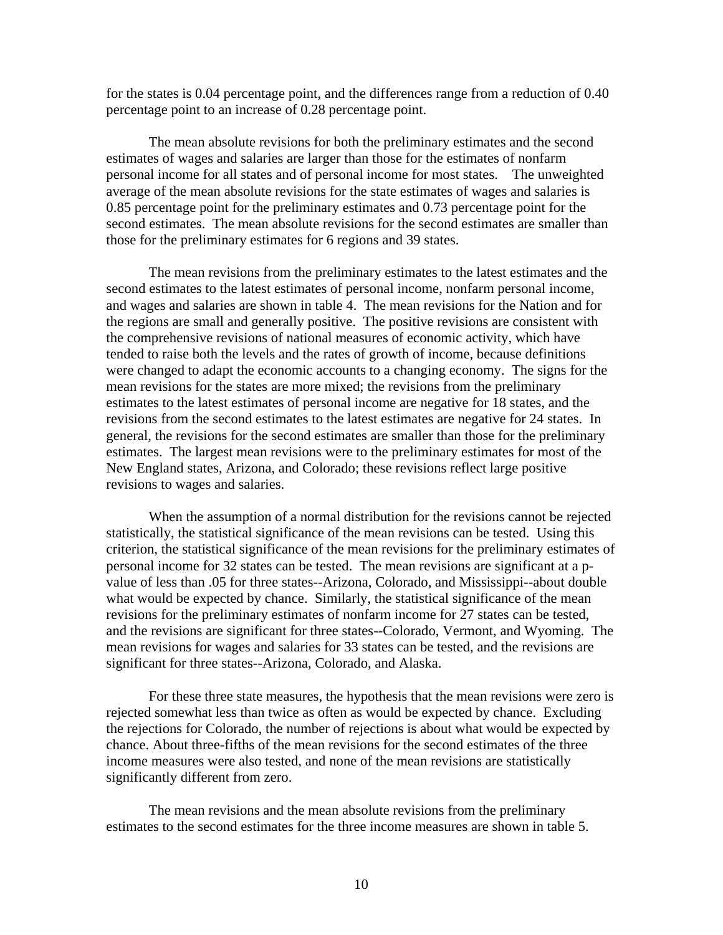for the states is 0.04 percentage point, and the differences range from a reduction of 0.40 percentage point to an increase of 0.28 percentage point.

 The mean absolute revisions for both the preliminary estimates and the second estimates of wages and salaries are larger than those for the estimates of nonfarm personal income for all states and of personal income for most states. The unweighted average of the mean absolute revisions for the state estimates of wages and salaries is 0.85 percentage point for the preliminary estimates and 0.73 percentage point for the second estimates. The mean absolute revisions for the second estimates are smaller than those for the preliminary estimates for 6 regions and 39 states.

 The mean revisions from the preliminary estimates to the latest estimates and the second estimates to the latest estimates of personal income, nonfarm personal income, and wages and salaries are shown in table 4. The mean revisions for the Nation and for the regions are small and generally positive. The positive revisions are consistent with the comprehensive revisions of national measures of economic activity, which have tended to raise both the levels and the rates of growth of income, because definitions were changed to adapt the economic accounts to a changing economy. The signs for the mean revisions for the states are more mixed; the revisions from the preliminary estimates to the latest estimates of personal income are negative for 18 states, and the revisions from the second estimates to the latest estimates are negative for 24 states. In general, the revisions for the second estimates are smaller than those for the preliminary estimates. The largest mean revisions were to the preliminary estimates for most of the New England states, Arizona, and Colorado; these revisions reflect large positive revisions to wages and salaries.

 When the assumption of a normal distribution for the revisions cannot be rejected statistically, the statistical significance of the mean revisions can be tested. Using this criterion, the statistical significance of the mean revisions for the preliminary estimates of personal income for 32 states can be tested. The mean revisions are significant at a pvalue of less than .05 for three states--Arizona, Colorado, and Mississippi--about double what would be expected by chance. Similarly, the statistical significance of the mean revisions for the preliminary estimates of nonfarm income for 27 states can be tested, and the revisions are significant for three states--Colorado, Vermont, and Wyoming. The mean revisions for wages and salaries for 33 states can be tested, and the revisions are significant for three states--Arizona, Colorado, and Alaska.

For these three state measures, the hypothesis that the mean revisions were zero is rejected somewhat less than twice as often as would be expected by chance. Excluding the rejections for Colorado, the number of rejections is about what would be expected by chance. About three-fifths of the mean revisions for the second estimates of the three income measures were also tested, and none of the mean revisions are statistically significantly different from zero.

 The mean revisions and the mean absolute revisions from the preliminary estimates to the second estimates for the three income measures are shown in table 5.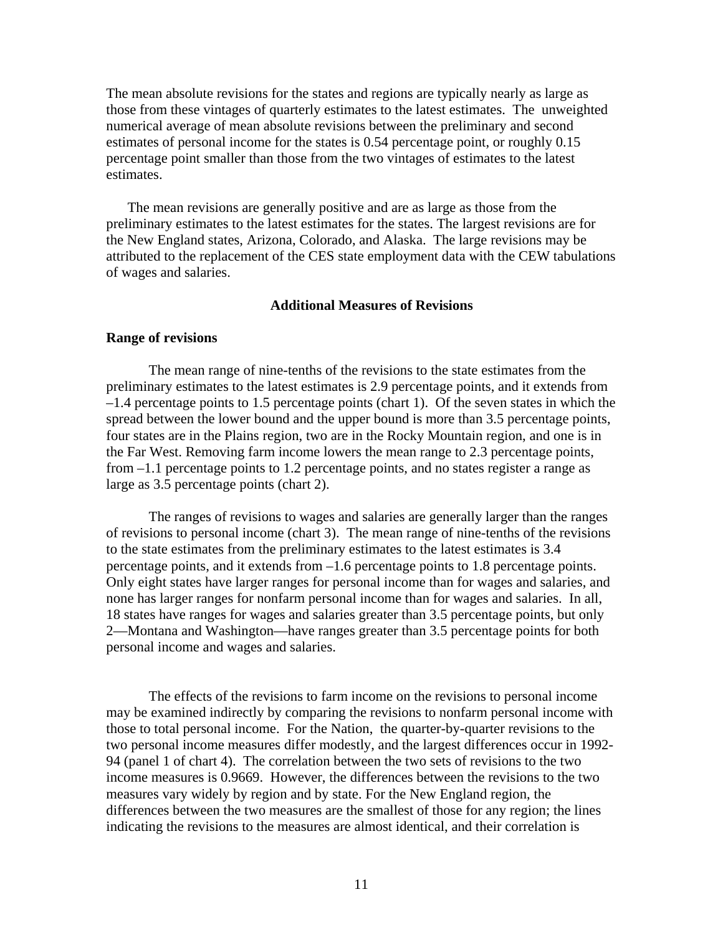The mean absolute revisions for the states and regions are typically nearly as large as those from these vintages of quarterly estimates to the latest estimates. The unweighted numerical average of mean absolute revisions between the preliminary and second estimates of personal income for the states is 0.54 percentage point, or roughly 0.15 percentage point smaller than those from the two vintages of estimates to the latest estimates.

The mean revisions are generally positive and are as large as those from the preliminary estimates to the latest estimates for the states. The largest revisions are for the New England states, Arizona, Colorado, and Alaska. The large revisions may be attributed to the replacement of the CES state employment data with the CEW tabulations of wages and salaries.

## **Additional Measures of Revisions**

### **Range of revisions**

The mean range of nine-tenths of the revisions to the state estimates from the preliminary estimates to the latest estimates is 2.9 percentage points, and it extends from –1.4 percentage points to 1.5 percentage points (chart 1). Of the seven states in which the spread between the lower bound and the upper bound is more than 3.5 percentage points, four states are in the Plains region, two are in the Rocky Mountain region, and one is in the Far West. Removing farm income lowers the mean range to 2.3 percentage points, from –1.1 percentage points to 1.2 percentage points, and no states register a range as large as 3.5 percentage points (chart 2).

The ranges of revisions to wages and salaries are generally larger than the ranges of revisions to personal income (chart 3). The mean range of nine-tenths of the revisions to the state estimates from the preliminary estimates to the latest estimates is 3.4 percentage points, and it extends from –1.6 percentage points to 1.8 percentage points. Only eight states have larger ranges for personal income than for wages and salaries, and none has larger ranges for nonfarm personal income than for wages and salaries. In all, 18 states have ranges for wages and salaries greater than 3.5 percentage points, but only 2—Montana and Washington—have ranges greater than 3.5 percentage points for both personal income and wages and salaries.

 The effects of the revisions to farm income on the revisions to personal income may be examined indirectly by comparing the revisions to nonfarm personal income with those to total personal income. For the Nation, the quarter-by-quarter revisions to the two personal income measures differ modestly, and the largest differences occur in 1992- 94 (panel 1 of chart 4). The correlation between the two sets of revisions to the two income measures is 0.9669. However, the differences between the revisions to the two measures vary widely by region and by state. For the New England region, the differences between the two measures are the smallest of those for any region; the lines indicating the revisions to the measures are almost identical, and their correlation is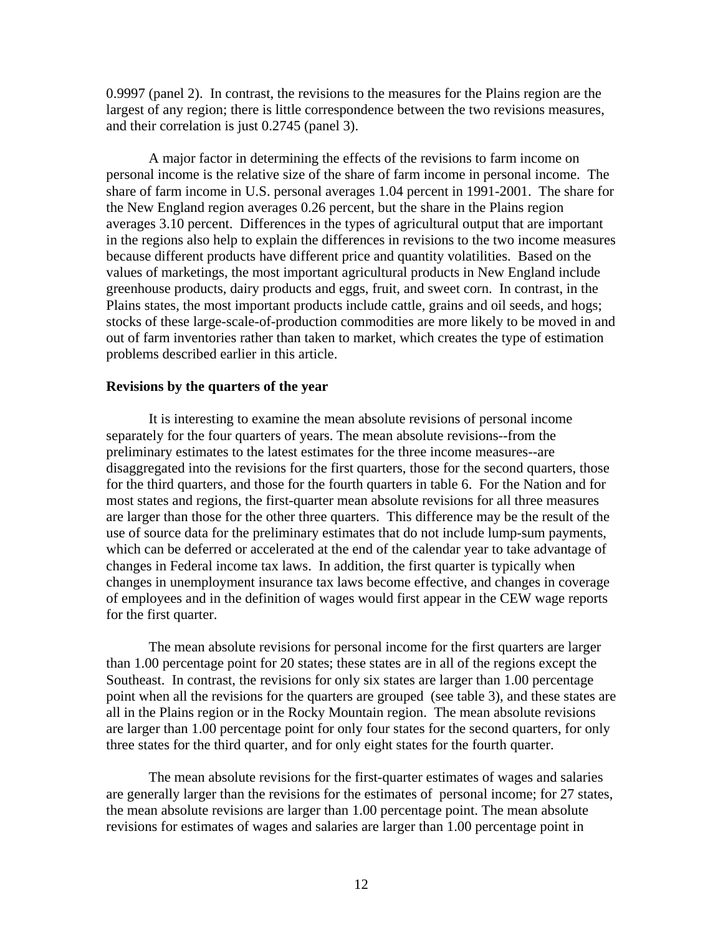0.9997 (panel 2). In contrast, the revisions to the measures for the Plains region are the largest of any region; there is little correspondence between the two revisions measures, and their correlation is just 0.2745 (panel 3).

 A major factor in determining the effects of the revisions to farm income on personal income is the relative size of the share of farm income in personal income. The share of farm income in U.S. personal averages 1.04 percent in 1991-2001. The share for the New England region averages 0.26 percent, but the share in the Plains region averages 3.10 percent. Differences in the types of agricultural output that are important in the regions also help to explain the differences in revisions to the two income measures because different products have different price and quantity volatilities. Based on the values of marketings, the most important agricultural products in New England include greenhouse products, dairy products and eggs, fruit, and sweet corn. In contrast, in the Plains states, the most important products include cattle, grains and oil seeds, and hogs; stocks of these large-scale-of-production commodities are more likely to be moved in and out of farm inventories rather than taken to market, which creates the type of estimation problems described earlier in this article.

### **Revisions by the quarters of the year**

 It is interesting to examine the mean absolute revisions of personal income separately for the four quarters of years. The mean absolute revisions--from the preliminary estimates to the latest estimates for the three income measures--are disaggregated into the revisions for the first quarters, those for the second quarters, those for the third quarters, and those for the fourth quarters in table 6. For the Nation and for most states and regions, the first-quarter mean absolute revisions for all three measures are larger than those for the other three quarters. This difference may be the result of the use of source data for the preliminary estimates that do not include lump-sum payments, which can be deferred or accelerated at the end of the calendar year to take advantage of changes in Federal income tax laws. In addition, the first quarter is typically when changes in unemployment insurance tax laws become effective, and changes in coverage of employees and in the definition of wages would first appear in the CEW wage reports for the first quarter.

 The mean absolute revisions for personal income for the first quarters are larger than 1.00 percentage point for 20 states; these states are in all of the regions except the Southeast. In contrast, the revisions for only six states are larger than 1.00 percentage point when all the revisions for the quarters are grouped (see table 3), and these states are all in the Plains region or in the Rocky Mountain region. The mean absolute revisions are larger than 1.00 percentage point for only four states for the second quarters, for only three states for the third quarter, and for only eight states for the fourth quarter.

 The mean absolute revisions for the first-quarter estimates of wages and salaries are generally larger than the revisions for the estimates of personal income; for 27 states, the mean absolute revisions are larger than 1.00 percentage point. The mean absolute revisions for estimates of wages and salaries are larger than 1.00 percentage point in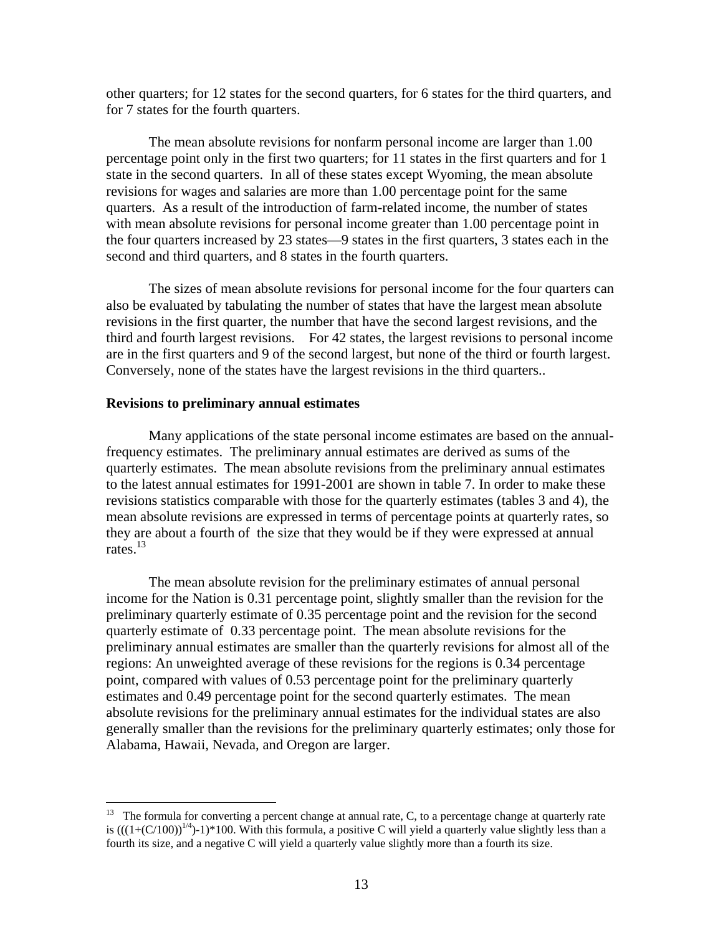other quarters; for 12 states for the second quarters, for 6 states for the third quarters, and for 7 states for the fourth quarters.

 The mean absolute revisions for nonfarm personal income are larger than 1.00 percentage point only in the first two quarters; for 11 states in the first quarters and for 1 state in the second quarters. In all of these states except Wyoming, the mean absolute revisions for wages and salaries are more than 1.00 percentage point for the same quarters. As a result of the introduction of farm-related income, the number of states with mean absolute revisions for personal income greater than 1.00 percentage point in the four quarters increased by 23 states—9 states in the first quarters, 3 states each in the second and third quarters, and 8 states in the fourth quarters.

 The sizes of mean absolute revisions for personal income for the four quarters can also be evaluated by tabulating the number of states that have the largest mean absolute revisions in the first quarter, the number that have the second largest revisions, and the third and fourth largest revisions. For 42 states, the largest revisions to personal income are in the first quarters and 9 of the second largest, but none of the third or fourth largest. Conversely, none of the states have the largest revisions in the third quarters..

### **Revisions to preliminary annual estimates**

 $\overline{a}$ 

 Many applications of the state personal income estimates are based on the annualfrequency estimates. The preliminary annual estimates are derived as sums of the quarterly estimates. The mean absolute revisions from the preliminary annual estimates to the latest annual estimates for 1991-2001 are shown in table 7. In order to make these revisions statistics comparable with those for the quarterly estimates (tables 3 and 4), the mean absolute revisions are expressed in terms of percentage points at quarterly rates, so they are about a fourth of the size that they would be if they were expressed at annual rates.13

 The mean absolute revision for the preliminary estimates of annual personal income for the Nation is 0.31 percentage point, slightly smaller than the revision for the preliminary quarterly estimate of 0.35 percentage point and the revision for the second quarterly estimate of 0.33 percentage point. The mean absolute revisions for the preliminary annual estimates are smaller than the quarterly revisions for almost all of the regions: An unweighted average of these revisions for the regions is 0.34 percentage point, compared with values of 0.53 percentage point for the preliminary quarterly estimates and 0.49 percentage point for the second quarterly estimates. The mean absolute revisions for the preliminary annual estimates for the individual states are also generally smaller than the revisions for the preliminary quarterly estimates; only those for Alabama, Hawaii, Nevada, and Oregon are larger.

<sup>&</sup>lt;sup>13</sup> The formula for converting a percent change at annual rate, C, to a percentage change at quarterly rate is  $(((1+(C/100))^{1/4})-1)*100$ . With this formula, a positive C will yield a quarterly value slightly less than a fourth its size, and a negative C will yield a quarterly value slightly more than a fourth its size.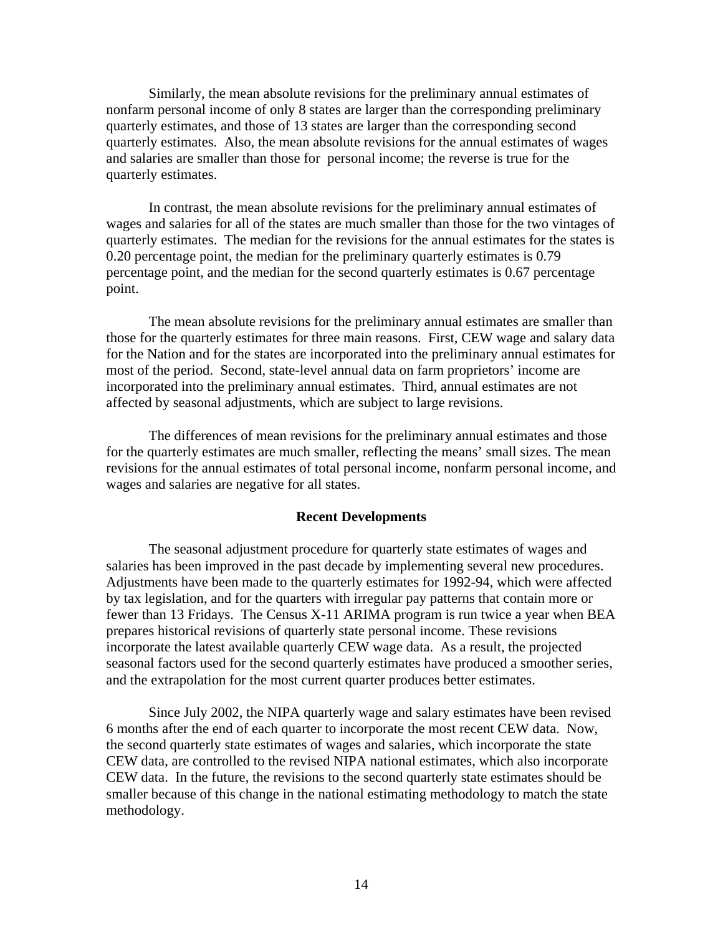Similarly, the mean absolute revisions for the preliminary annual estimates of nonfarm personal income of only 8 states are larger than the corresponding preliminary quarterly estimates, and those of 13 states are larger than the corresponding second quarterly estimates. Also, the mean absolute revisions for the annual estimates of wages and salaries are smaller than those for personal income; the reverse is true for the quarterly estimates.

 In contrast, the mean absolute revisions for the preliminary annual estimates of wages and salaries for all of the states are much smaller than those for the two vintages of quarterly estimates. The median for the revisions for the annual estimates for the states is 0.20 percentage point, the median for the preliminary quarterly estimates is 0.79 percentage point, and the median for the second quarterly estimates is 0.67 percentage point.

 The mean absolute revisions for the preliminary annual estimates are smaller than those for the quarterly estimates for three main reasons. First, CEW wage and salary data for the Nation and for the states are incorporated into the preliminary annual estimates for most of the period. Second, state-level annual data on farm proprietors' income are incorporated into the preliminary annual estimates. Third, annual estimates are not affected by seasonal adjustments, which are subject to large revisions.

 The differences of mean revisions for the preliminary annual estimates and those for the quarterly estimates are much smaller, reflecting the means' small sizes. The mean revisions for the annual estimates of total personal income, nonfarm personal income, and wages and salaries are negative for all states.

### **Recent Developments**

The seasonal adjustment procedure for quarterly state estimates of wages and salaries has been improved in the past decade by implementing several new procedures. Adjustments have been made to the quarterly estimates for 1992-94, which were affected by tax legislation, and for the quarters with irregular pay patterns that contain more or fewer than 13 Fridays. The Census X-11 ARIMA program is run twice a year when BEA prepares historical revisions of quarterly state personal income. These revisions incorporate the latest available quarterly CEW wage data. As a result, the projected seasonal factors used for the second quarterly estimates have produced a smoother series, and the extrapolation for the most current quarter produces better estimates.

Since July 2002, the NIPA quarterly wage and salary estimates have been revised 6 months after the end of each quarter to incorporate the most recent CEW data. Now, the second quarterly state estimates of wages and salaries, which incorporate the state CEW data, are controlled to the revised NIPA national estimates, which also incorporate CEW data. In the future, the revisions to the second quarterly state estimates should be smaller because of this change in the national estimating methodology to match the state methodology.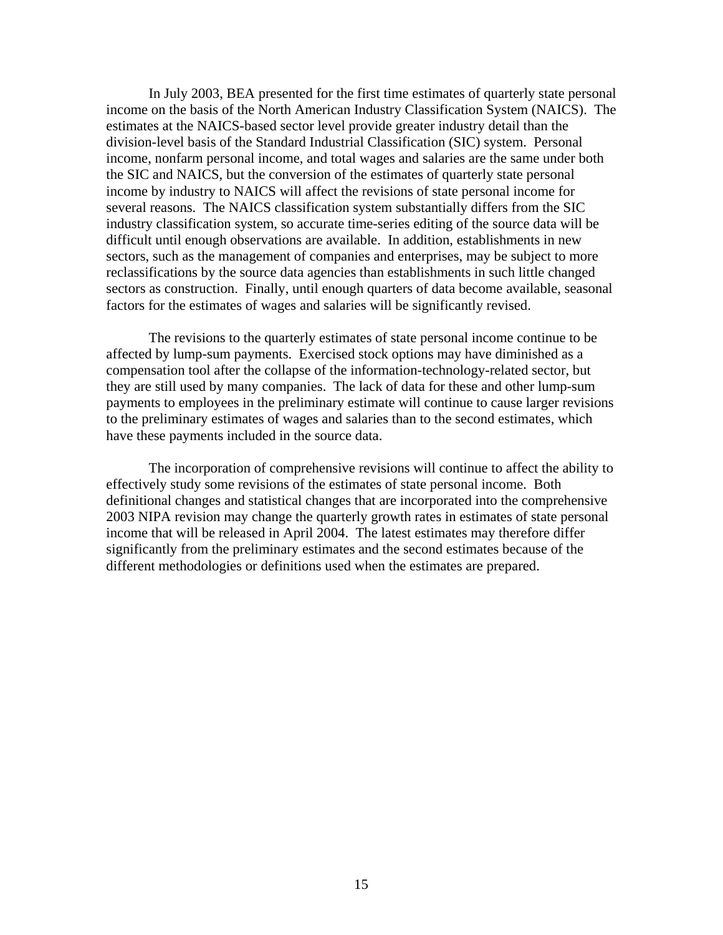In July 2003, BEA presented for the first time estimates of quarterly state personal income on the basis of the North American Industry Classification System (NAICS). The estimates at the NAICS-based sector level provide greater industry detail than the division-level basis of the Standard Industrial Classification (SIC) system. Personal income, nonfarm personal income, and total wages and salaries are the same under both the SIC and NAICS, but the conversion of the estimates of quarterly state personal income by industry to NAICS will affect the revisions of state personal income for several reasons. The NAICS classification system substantially differs from the SIC industry classification system, so accurate time-series editing of the source data will be difficult until enough observations are available. In addition, establishments in new sectors, such as the management of companies and enterprises, may be subject to more reclassifications by the source data agencies than establishments in such little changed sectors as construction. Finally, until enough quarters of data become available, seasonal factors for the estimates of wages and salaries will be significantly revised.

 The revisions to the quarterly estimates of state personal income continue to be affected by lump-sum payments. Exercised stock options may have diminished as a compensation tool after the collapse of the information-technology-related sector, but they are still used by many companies. The lack of data for these and other lump-sum payments to employees in the preliminary estimate will continue to cause larger revisions to the preliminary estimates of wages and salaries than to the second estimates, which have these payments included in the source data.

 The incorporation of comprehensive revisions will continue to affect the ability to effectively study some revisions of the estimates of state personal income. Both definitional changes and statistical changes that are incorporated into the comprehensive 2003 NIPA revision may change the quarterly growth rates in estimates of state personal income that will be released in April 2004. The latest estimates may therefore differ significantly from the preliminary estimates and the second estimates because of the different methodologies or definitions used when the estimates are prepared.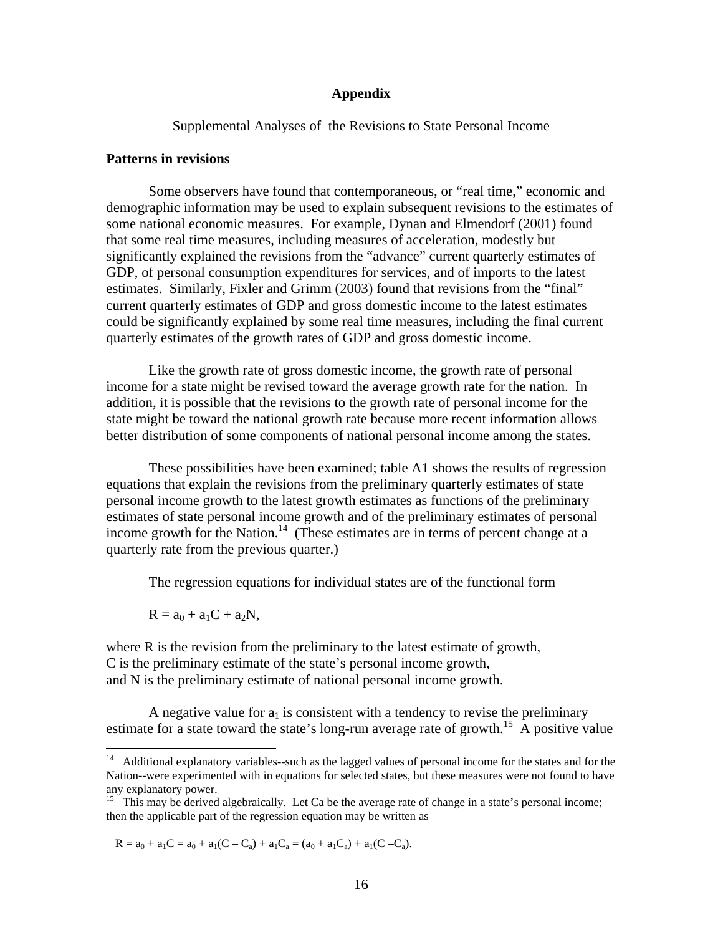### **Appendix**

Supplemental Analyses of the Revisions to State Personal Income

## **Patterns in revisions**

 Some observers have found that contemporaneous, or "real time," economic and demographic information may be used to explain subsequent revisions to the estimates of some national economic measures. For example, Dynan and Elmendorf (2001) found that some real time measures, including measures of acceleration, modestly but significantly explained the revisions from the "advance" current quarterly estimates of GDP, of personal consumption expenditures for services, and of imports to the latest estimates. Similarly, Fixler and Grimm (2003) found that revisions from the "final" current quarterly estimates of GDP and gross domestic income to the latest estimates could be significantly explained by some real time measures, including the final current quarterly estimates of the growth rates of GDP and gross domestic income.

Like the growth rate of gross domestic income, the growth rate of personal income for a state might be revised toward the average growth rate for the nation. In addition, it is possible that the revisions to the growth rate of personal income for the state might be toward the national growth rate because more recent information allows better distribution of some components of national personal income among the states.

These possibilities have been examined; table A1 shows the results of regression equations that explain the revisions from the preliminary quarterly estimates of state personal income growth to the latest growth estimates as functions of the preliminary estimates of state personal income growth and of the preliminary estimates of personal income growth for the Nation.<sup>14</sup> (These estimates are in terms of percent change at a quarterly rate from the previous quarter.)

The regression equations for individual states are of the functional form

 $R = a_0 + a_1C + a_2N$ ,

<u>.</u>

where R is the revision from the preliminary to the latest estimate of growth, C is the preliminary estimate of the state's personal income growth, and N is the preliminary estimate of national personal income growth.

A negative value for  $a_1$  is consistent with a tendency to revise the preliminary estimate for a state toward the state's long-run average rate of growth.<sup>15</sup> A positive value

 $R = a_0 + a_1C = a_0 + a_1(C - C_a) + a_1C_a = (a_0 + a_1C_a) + a_1(C - C_a).$ 

<sup>&</sup>lt;sup>14</sup> Additional explanatory variables--such as the lagged values of personal income for the states and for the Nation--were experimented with in equations for selected states, but these measures were not found to have any explanatory power.

<sup>&</sup>lt;sup>15</sup> This may be derived algebraically. Let Ca be the average rate of change in a state's personal income; then the applicable part of the regression equation may be written as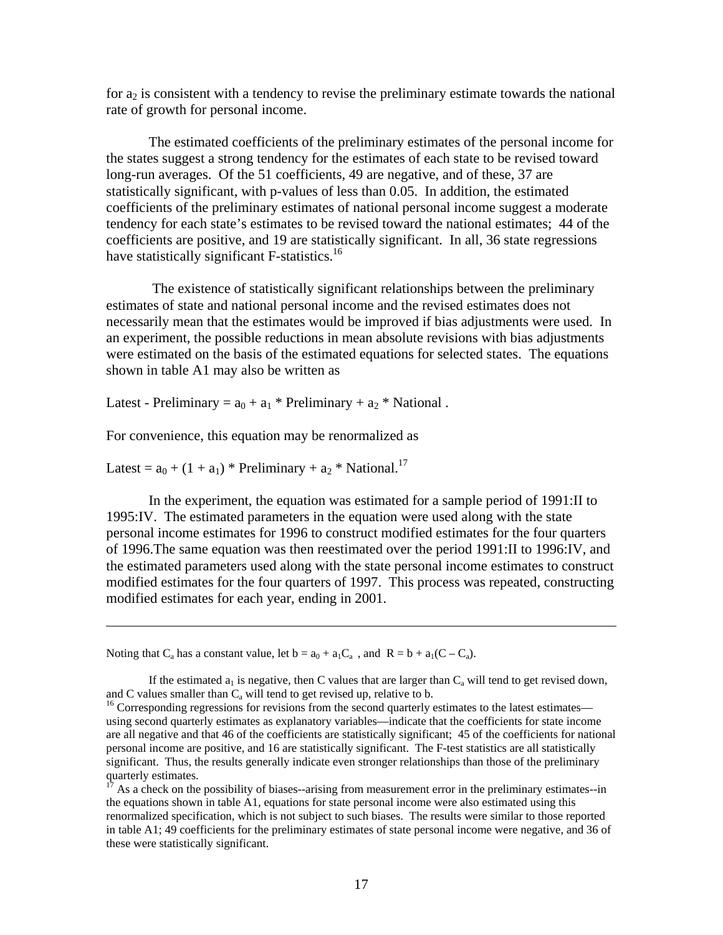for  $a_2$  is consistent with a tendency to revise the preliminary estimate towards the national rate of growth for personal income.

The estimated coefficients of the preliminary estimates of the personal income for the states suggest a strong tendency for the estimates of each state to be revised toward long-run averages. Of the 51 coefficients, 49 are negative, and of these, 37 are statistically significant, with p-values of less than 0.05. In addition, the estimated coefficients of the preliminary estimates of national personal income suggest a moderate tendency for each state's estimates to be revised toward the national estimates; 44 of the coefficients are positive, and 19 are statistically significant. In all, 36 state regressions have statistically significant F-statistics.<sup>16</sup>

 The existence of statistically significant relationships between the preliminary estimates of state and national personal income and the revised estimates does not necessarily mean that the estimates would be improved if bias adjustments were used. In an experiment, the possible reductions in mean absolute revisions with bias adjustments were estimated on the basis of the estimated equations for selected states. The equations shown in table A1 may also be written as

Latest - Preliminary =  $a_0 + a_1 *$  Preliminary +  $a_2 *$  National.

For convenience, this equation may be renormalized as

Latest =  $a_0 + (1 + a_1)$  \* Preliminary +  $a_2$  \* National.<sup>17</sup>

1

In the experiment, the equation was estimated for a sample period of 1991:II to 1995:IV. The estimated parameters in the equation were used along with the state personal income estimates for 1996 to construct modified estimates for the four quarters of 1996.The same equation was then reestimated over the period 1991:II to 1996:IV, and the estimated parameters used along with the state personal income estimates to construct modified estimates for the four quarters of 1997. This process was repeated, constructing modified estimates for each year, ending in 2001.

Noting that C<sub>a</sub> has a constant value, let  $b = a_0 + a_1C_a$ , and  $R = b + a_1(C - C_a)$ .

If the estimated  $a_1$  is negative, then C values that are larger than  $C_a$  will tend to get revised down, and C values smaller than  $C_a$  will tend to get revised up, relative to b.

 $16$  Corresponding regressions for revisions from the second quarterly estimates to the latest estimates using second quarterly estimates as explanatory variables—indicate that the coefficients for state income are all negative and that 46 of the coefficients are statistically significant; 45 of the coefficients for national personal income are positive, and 16 are statistically significant. The F-test statistics are all statistically significant. Thus, the results generally indicate even stronger relationships than those of the preliminary quarterly estimates.

 $17$  As a check on the possibility of biases--arising from measurement error in the preliminary estimates--in the equations shown in table A1, equations for state personal income were also estimated using this renormalized specification, which is not subject to such biases. The results were similar to those reported in table A1; 49 coefficients for the preliminary estimates of state personal income were negative, and 36 of these were statistically significant.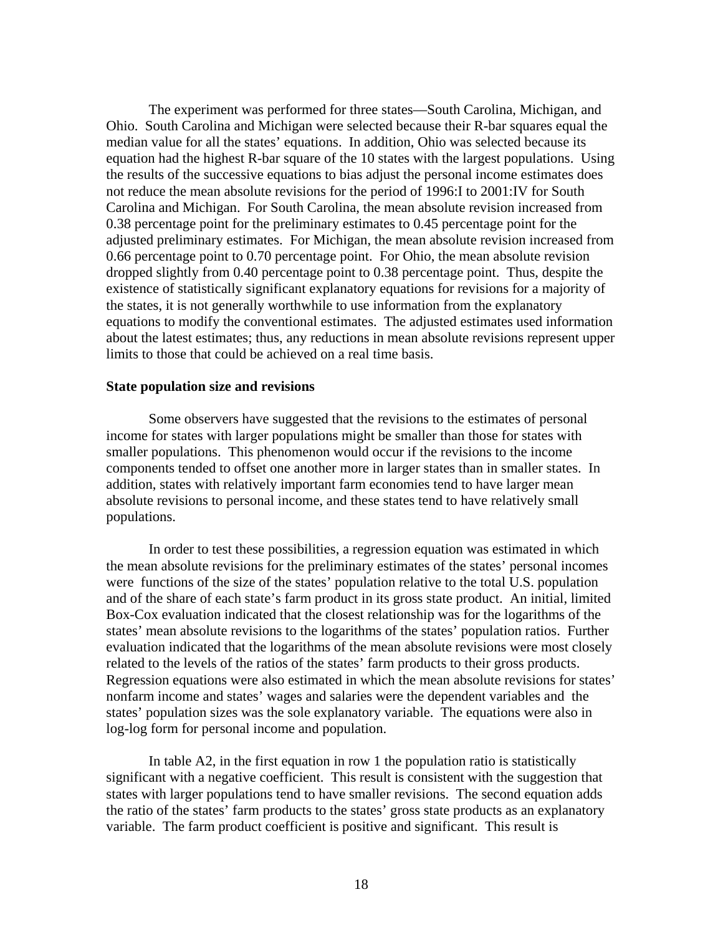The experiment was performed for three states—South Carolina, Michigan, and Ohio. South Carolina and Michigan were selected because their R-bar squares equal the median value for all the states' equations. In addition, Ohio was selected because its equation had the highest R-bar square of the 10 states with the largest populations. Using the results of the successive equations to bias adjust the personal income estimates does not reduce the mean absolute revisions for the period of 1996:I to 2001:IV for South Carolina and Michigan. For South Carolina, the mean absolute revision increased from 0.38 percentage point for the preliminary estimates to 0.45 percentage point for the adjusted preliminary estimates. For Michigan, the mean absolute revision increased from 0.66 percentage point to 0.70 percentage point. For Ohio, the mean absolute revision dropped slightly from 0.40 percentage point to 0.38 percentage point. Thus, despite the existence of statistically significant explanatory equations for revisions for a majority of the states, it is not generally worthwhile to use information from the explanatory equations to modify the conventional estimates. The adjusted estimates used information about the latest estimates; thus, any reductions in mean absolute revisions represent upper limits to those that could be achieved on a real time basis.

### **State population size and revisions**

 Some observers have suggested that the revisions to the estimates of personal income for states with larger populations might be smaller than those for states with smaller populations. This phenomenon would occur if the revisions to the income components tended to offset one another more in larger states than in smaller states. In addition, states with relatively important farm economies tend to have larger mean absolute revisions to personal income, and these states tend to have relatively small populations.

 In order to test these possibilities, a regression equation was estimated in which the mean absolute revisions for the preliminary estimates of the states' personal incomes were functions of the size of the states' population relative to the total U.S. population and of the share of each state's farm product in its gross state product. An initial, limited Box-Cox evaluation indicated that the closest relationship was for the logarithms of the states' mean absolute revisions to the logarithms of the states' population ratios. Further evaluation indicated that the logarithms of the mean absolute revisions were most closely related to the levels of the ratios of the states' farm products to their gross products. Regression equations were also estimated in which the mean absolute revisions for states' nonfarm income and states' wages and salaries were the dependent variables and the states' population sizes was the sole explanatory variable. The equations were also in log-log form for personal income and population.

In table A2, in the first equation in row 1 the population ratio is statistically significant with a negative coefficient. This result is consistent with the suggestion that states with larger populations tend to have smaller revisions. The second equation adds the ratio of the states' farm products to the states' gross state products as an explanatory variable. The farm product coefficient is positive and significant. This result is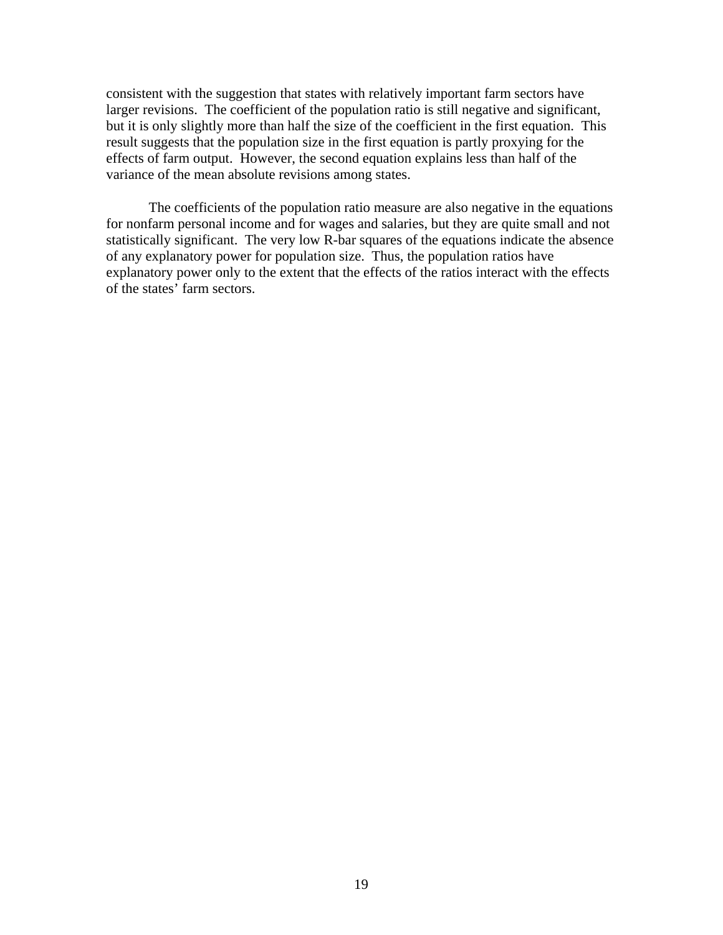consistent with the suggestion that states with relatively important farm sectors have larger revisions. The coefficient of the population ratio is still negative and significant, but it is only slightly more than half the size of the coefficient in the first equation. This result suggests that the population size in the first equation is partly proxying for the effects of farm output. However, the second equation explains less than half of the variance of the mean absolute revisions among states.

 The coefficients of the population ratio measure are also negative in the equations for nonfarm personal income and for wages and salaries, but they are quite small and not statistically significant. The very low R-bar squares of the equations indicate the absence of any explanatory power for population size. Thus, the population ratios have explanatory power only to the extent that the effects of the ratios interact with the effects of the states' farm sectors.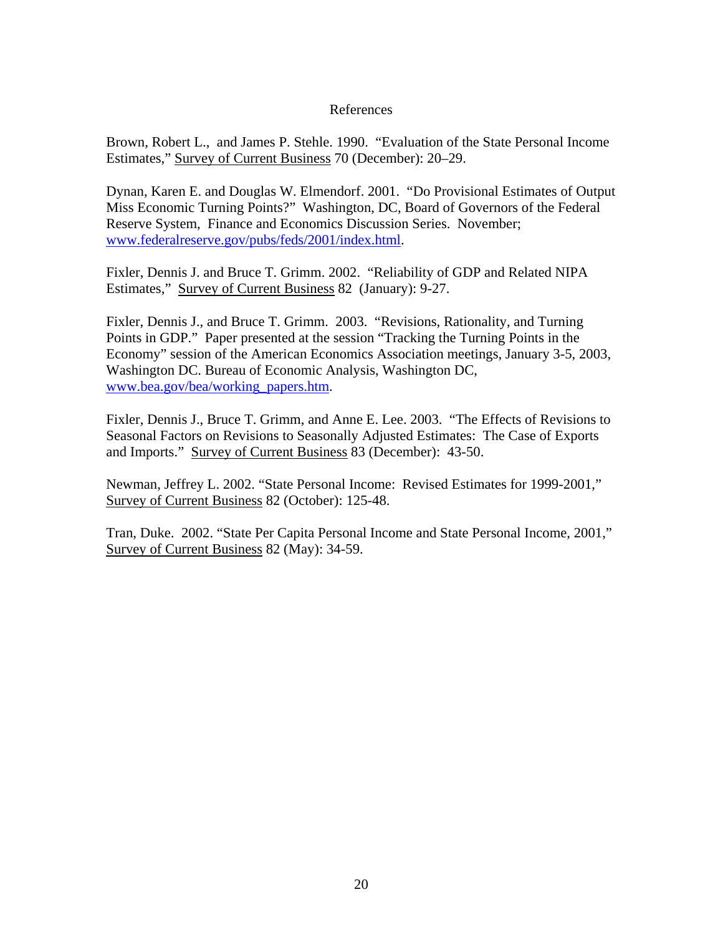## References

Brown, Robert L., and James P. Stehle. 1990. "Evaluation of the State Personal Income Estimates," Survey of Current Business 70 (December): 20–29.

Dynan, Karen E. and Douglas W. Elmendorf. 2001. "Do Provisional Estimates of Output Miss Economic Turning Points?" Washington, DC, Board of Governors of the Federal Reserve System, Finance and Economics Discussion Series. November; www.federalreserve.gov/pubs/feds/2001/index.html.

Fixler, Dennis J. and Bruce T. Grimm. 2002. "Reliability of GDP and Related NIPA Estimates," Survey of Current Business 82 (January): 9-27.

Fixler, Dennis J., and Bruce T. Grimm. 2003. "Revisions, Rationality, and Turning Points in GDP." Paper presented at the session "Tracking the Turning Points in the Economy" session of the American Economics Association meetings, January 3-5, 2003, Washington DC. Bureau of Economic Analysis, Washington DC, www.bea.gov/bea/working\_papers.htm.

Fixler, Dennis J., Bruce T. Grimm, and Anne E. Lee. 2003. "The Effects of Revisions to Seasonal Factors on Revisions to Seasonally Adjusted Estimates: The Case of Exports and Imports." Survey of Current Business 83 (December): 43-50.

Newman, Jeffrey L. 2002. "State Personal Income: Revised Estimates for 1999-2001," Survey of Current Business 82 (October): 125-48.

Tran, Duke. 2002. "State Per Capita Personal Income and State Personal Income, 2001," Survey of Current Business 82 (May): 34-59.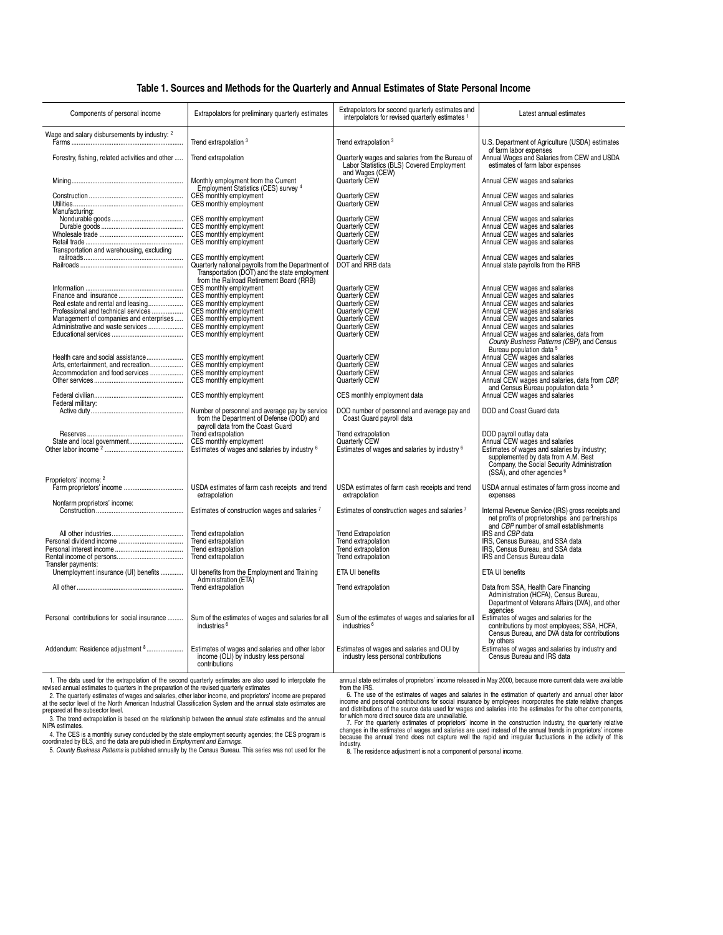#### **Table 1. Sources and Methods for the Quarterly and Annual Estimates of State Personal Income**

| Components of personal income                                                                                                                             | Extrapolators for preliminary quarterly estimates                                                                                                                                  | Extrapolators for second quarterly estimates and                                                                    | Latest annual estimates                                                                                                                                                                                                                                                                      |  |
|-----------------------------------------------------------------------------------------------------------------------------------------------------------|------------------------------------------------------------------------------------------------------------------------------------------------------------------------------------|---------------------------------------------------------------------------------------------------------------------|----------------------------------------------------------------------------------------------------------------------------------------------------------------------------------------------------------------------------------------------------------------------------------------------|--|
|                                                                                                                                                           |                                                                                                                                                                                    | interpolators for revised quarterly estimates 1                                                                     |                                                                                                                                                                                                                                                                                              |  |
| Wage and salary disbursements by industry: 2                                                                                                              | Trend extrapolation <sup>3</sup>                                                                                                                                                   | Trend extrapolation <sup>3</sup>                                                                                    | U.S. Department of Agriculture (USDA) estimates<br>of farm labor expenses                                                                                                                                                                                                                    |  |
| Forestry, fishing, related activities and other                                                                                                           | Trend extrapolation                                                                                                                                                                | Quarterly wages and salaries from the Bureau of<br>Labor Statistics (BLS) Covered Employment<br>and Wages (CEW)     | Annual Wages and Salaries from CEW and USDA<br>estimates of farm labor expenses                                                                                                                                                                                                              |  |
|                                                                                                                                                           | Monthly employment from the Current<br>Employment Statistics (CES) survey 4                                                                                                        | Quarterly CEW                                                                                                       | Annual CEW wages and salaries                                                                                                                                                                                                                                                                |  |
| Manufacturing:                                                                                                                                            | CES monthly employment<br>CES monthly employment                                                                                                                                   | Quarterly CEW<br>Quarterly CEW                                                                                      | Annual CEW wages and salaries<br>Annual CEW wages and salaries                                                                                                                                                                                                                               |  |
| Durable goods<br>Wholesale trade<br>Transportation and warehousing, excluding                                                                             | CES monthly employment<br>CES monthly employment<br>CES monthly employment<br>CES monthly employment                                                                               | Quarterly CEW<br>Quarterly CEW<br>Quarterly CEW<br>Quarterly CEW                                                    | Annual CEW wages and salaries<br>Annual CEW wages and salaries<br>Annual CEW wages and salaries<br>Annual CEW wages and salaries                                                                                                                                                             |  |
|                                                                                                                                                           | CES monthly employment<br>Quarterly national payrolls from the Department of<br>Transportation (DOT) and the state employment<br>from the Railroad Retirement Board (RRB)          | Quarterly CEW<br>DOT and RRB data                                                                                   | Annual CEW wages and salaries<br>Annual state payrolls from the RRB                                                                                                                                                                                                                          |  |
| Real estate and rental and leasing<br>Professional and technical services<br>Management of companies and enterprises<br>Administrative and waste services | CES monthly employment<br>CES monthly employment<br>CES monthly employment<br>CES monthly employment<br>CES monthly employment<br>CES monthly employment<br>CES monthly employment | Quarterly CEW<br>Quarterly CEW<br>Quarterly CEW<br>Quarterly CEW<br>Quarterly CEW<br>Quarterly CEW<br>Quarterly CEW | Annual CEW wages and salaries<br>Annual CEW wages and salaries<br>Annual CEW wages and salaries<br>Annual CEW wages and salaries<br>Annual CEW wages and salaries<br>Annual CEW wages and salaries<br>Annual CEW wages and salaries, data from<br>County Business Patterns (CBP), and Census |  |
| Health care and social assistance<br>Arts, entertainment, and recreation<br>Accommodation and food services                                               | CES monthly employment<br>CES monthly employment<br>CES monthly employment<br>CES monthly employment                                                                               | Quarterly CEW<br>Quarterly CEW<br>Quarterly CEW<br>Quarterly CEW                                                    | Bureau population data 5<br>Annual CEW wages and salaries<br>Annual CEW wages and salaries<br>Annual CEW wages and salaries<br>Annual CEW wages and salaries, data from CBP,<br>and Census Bureau population data 5                                                                          |  |
| Federal military:                                                                                                                                         | CES monthly employment                                                                                                                                                             | CES monthly employment data                                                                                         | Annual CEW wages and salaries                                                                                                                                                                                                                                                                |  |
|                                                                                                                                                           | Number of personnel and average pay by service<br>from the Department of Defense (DOD) and<br>payroll data from the Coast Guard                                                    | DOD number of personnel and average pay and<br>Coast Guard payroll data                                             | DOD and Coast Guard data                                                                                                                                                                                                                                                                     |  |
| State and local government                                                                                                                                | Trend extrapolation<br>CES monthly employment<br>Estimates of wages and salaries by industry <sup>6</sup>                                                                          | Trend extrapolation<br>Quarterly CEW<br>Estimates of wages and salaries by industry <sup>6</sup>                    | DOD payroll outlay data<br>Annual CEW wages and salaries<br>Estimates of wages and salaries by industry;<br>supplemented by data from A.M. Best<br>Company, the Social Security Administration<br>(SSA), and other agencies <sup>6</sup>                                                     |  |
| Proprietors' income: 2                                                                                                                                    | USDA estimates of farm cash receipts and trend<br>extrapolation                                                                                                                    | USDA estimates of farm cash receipts and trend<br>extrapolation                                                     | USDA annual estimates of farm gross income and<br>expenses                                                                                                                                                                                                                                   |  |
| Nonfarm proprietors' income:                                                                                                                              | Estimates of construction wages and salaries 7                                                                                                                                     | Estimates of construction wages and salaries <sup>7</sup>                                                           | Internal Revenue Service (IRS) gross receipts and<br>net profits of proprietorships and partnerships<br>and CBP number of small establishments                                                                                                                                               |  |
| Transfer payments:                                                                                                                                        | Trend extrapolation<br>Trend extrapolation<br>Trend extrapolation<br>Trend extrapolation                                                                                           | <b>Trend Extrapolation</b><br>Trend extrapolation<br>Trend extrapolation<br>Trend extrapolation                     | IRS and CBP data<br>IRS, Census Bureau, and SSA data<br>IRS, Census Bureau, and SSA data<br>IRS and Census Bureau data                                                                                                                                                                       |  |
| Unemployment insurance (UI) benefits                                                                                                                      | UI benefits from the Employment and Training                                                                                                                                       | ETA UI benefits                                                                                                     | ETA UI benefits                                                                                                                                                                                                                                                                              |  |
|                                                                                                                                                           | Administration (ETA)<br>Trend extrapolation                                                                                                                                        | Trend extrapolation                                                                                                 | Data from SSA, Health Care Financing<br>Administration (HCFA), Census Bureau,<br>Department of Veterans Affairs (DVA), and other<br>agencies                                                                                                                                                 |  |
| Personal contributions for social insurance                                                                                                               | Sum of the estimates of wages and salaries for all<br>industries <sup>6</sup>                                                                                                      | Sum of the estimates of wages and salaries for all<br>industries <sup>6</sup>                                       | Estimates of wages and salaries for the<br>contributions by most employees; SSA, HCFA,<br>Census Bureau, and DVA data for contributions<br>by others                                                                                                                                         |  |
| Addendum: Residence adjustment 8                                                                                                                          | Estimates of wages and salaries and other labor<br>income (OLI) by industry less personal<br>contributions                                                                         | Estimates of wages and salaries and OLI by<br>industry less personal contributions                                  | Estimates of wages and salaries by industry and<br>Census Bureau and IRS data                                                                                                                                                                                                                |  |
| 1. The data used for the extrapolation of the second quarterly estimates are also used to interpolate the                                                 |                                                                                                                                                                                    |                                                                                                                     | annual state estimates of proprietors' income released in May 2000, because more current data were available                                                                                                                                                                                 |  |

1. The data used for the extrapolation of the second quarterly estimates are also used to interpolate the<br>revised annual estimates to quarters in the preparation of the revised quarterly stimates<br>2. The quarterly estimates

3. The trend extrapolation is based on the relationship between the annual state estimates and the annual<br>1PA estimates.<br>4. The CES is a monthly survey conducted by the state employment security agencies; the CES program i

annual state estimates of proprietors' income released in May 2000, because more current data were available<br>from the IRS.<br>In the S. The use of the estimates of wages and salaries in the estimation of quarterly and annual

industry. 8. The residence adjustment is not a component of personal income.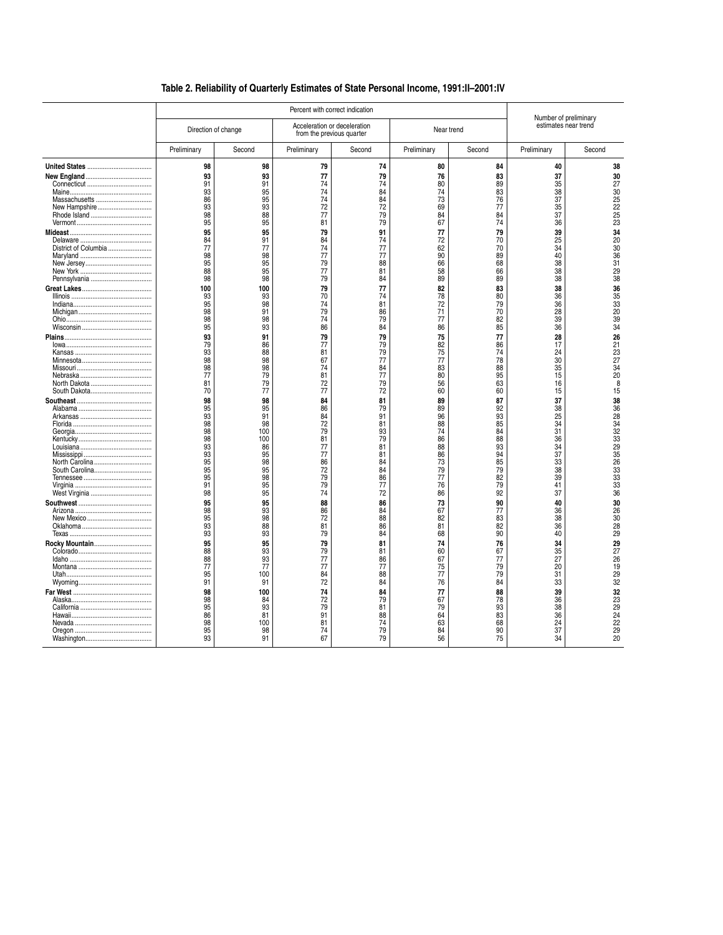## **Table 2. Reliability of Quarterly Estimates of State Personal Income, 1991:II–2001:IV**

|                                  | Percent with correct indication                                            |                                                                               |                                                                            |                                                                            |                                                                            |                                                                                   |                                                                            | Number of preliminary                                                             |
|----------------------------------|----------------------------------------------------------------------------|-------------------------------------------------------------------------------|----------------------------------------------------------------------------|----------------------------------------------------------------------------|----------------------------------------------------------------------------|-----------------------------------------------------------------------------------|----------------------------------------------------------------------------|-----------------------------------------------------------------------------------|
|                                  | Direction of change                                                        |                                                                               |                                                                            | Acceleration or deceleration<br>from the previous quarter                  | Near trend                                                                 |                                                                                   | estimates near trend                                                       |                                                                                   |
|                                  | Preliminary                                                                | Second                                                                        | Preliminary                                                                | Second                                                                     | Preliminary                                                                | Second                                                                            | Preliminary                                                                | Second                                                                            |
| Massachusetts<br>New Hampshire   | 98<br>93<br>91<br>93<br>86<br>93<br>98<br>95                               | 98<br>93<br>91<br>95<br>95<br>93<br>88<br>95                                  | 79<br>77<br>74<br>74<br>74<br>72<br>77<br>81                               | 74<br>79<br>74<br>84<br>84<br>72<br>79<br>79                               | 80<br>76<br>80<br>74<br>73<br>69<br>84<br>67                               | 84<br>83<br>89<br>83<br>76<br>77<br>84<br>74                                      | 40<br>37<br>35<br>38<br>37<br>35<br>37<br>36                               | 38<br>30<br>27<br>30<br>25<br>22<br>$\frac{25}{23}$                               |
| District of Columbia             | 95<br>84<br>77<br>98<br>95<br>88<br>98<br>100                              | 95<br>91<br>77<br>98<br>95<br>95<br>98<br>100                                 | 79<br>84<br>74<br>77<br>79<br>77<br>79<br>79                               | 91<br>74<br>77<br>77<br>88<br>81<br>84<br>77                               | 77<br>72<br>62<br>90<br>66<br>58<br>89<br>82                               | 79<br>70<br>70<br>89<br>68<br>66<br>89<br>83                                      | 39<br>25<br>34<br>40<br>38<br>38<br>38<br>38                               | 34<br>$\frac{20}{30}$<br>$\frac{36}{31}$<br>29<br>38<br>36                        |
|                                  | 93<br>95<br>98<br>98<br>95                                                 | 93<br>98<br>91<br>98<br>93                                                    | 70<br>74<br>79<br>74<br>86                                                 | 74<br>81<br>86<br>79<br>84                                                 | 78<br>72<br>71<br>77<br>86                                                 | 80<br>79<br>70<br>82<br>85                                                        | 36<br>36<br>28<br>39<br>36                                                 | $\frac{35}{33}$<br>20<br>$\frac{39}{34}$                                          |
|                                  | 93<br>79<br>93<br>98<br>98<br>77<br>81<br>70                               | 91<br>86<br>88<br>98<br>98<br>79<br>79<br>77                                  | 79<br>77<br>81<br>67<br>74<br>81<br>72<br>77                               | 79<br>79<br>79<br>77<br>84<br>77<br>79<br>72                               | 75<br>82<br>75<br>77<br>83<br>80<br>56<br>60                               | 77<br>86<br>74<br>78<br>88<br>95<br>63<br>60                                      | 28<br>17<br>24<br>30<br>35<br>15<br>16<br>15                               | 26<br>21<br>23<br>27<br>34<br>20<br>8<br>15                                       |
| North Carolina<br>South Carolina | 98<br>95<br>93<br>98<br>98<br>98<br>93<br>93<br>95<br>95<br>95<br>91<br>98 | 98<br>95<br>91<br>98<br>100<br>100<br>86<br>95<br>98<br>95<br>98<br>95<br>95  | 84<br>86<br>84<br>72<br>79<br>81<br>77<br>77<br>86<br>72<br>79<br>79<br>74 | 81<br>79<br>91<br>81<br>93<br>79<br>81<br>81<br>84<br>84<br>86<br>77<br>72 | 89<br>89<br>96<br>88<br>74<br>86<br>88<br>86<br>73<br>79<br>77<br>76<br>86 | 87<br>92<br>93<br>85<br>84<br>88<br>93<br>94<br>85<br>79<br>$\frac{82}{79}$<br>92 | 37<br>38<br>25<br>34<br>31<br>36<br>34<br>37<br>33<br>38<br>39<br>41<br>37 | 38<br>$\frac{36}{28}$<br>34<br>32<br>33<br>29<br>35<br>26<br>33<br>33<br>33<br>36 |
|                                  | 95<br>98<br>95<br>93<br>93                                                 | 95<br>93<br>98<br>88<br>93                                                    | 88<br>86<br>72<br>81<br>79                                                 | 86<br>84<br>88<br>86<br>84                                                 | 73<br>67<br>82<br>81<br>68                                                 | 90<br>77<br>83<br>82<br>90                                                        | 40<br>36<br>38<br>36<br>40                                                 | 30<br>$\frac{26}{30}$<br>28<br>29                                                 |
|                                  | 95<br>88<br>88<br>77<br>95<br>91<br>98<br>98<br>95<br>86<br>98<br>95<br>93 | 95<br>93<br>93<br>77<br>100<br>91<br>100<br>84<br>93<br>81<br>100<br>98<br>91 | 79<br>79<br>77<br>77<br>84<br>72<br>74<br>72<br>79<br>91<br>81<br>74<br>67 | 81<br>81<br>86<br>77<br>88<br>84<br>84<br>79<br>81<br>88<br>74<br>79<br>79 | 74<br>60<br>67<br>75<br>77<br>76<br>77<br>67<br>79<br>64<br>63<br>84<br>56 | 76<br>67<br>77<br>79<br>79<br>84<br>88<br>78<br>93<br>83<br>68<br>90<br>75        | 34<br>35<br>27<br>20<br>31<br>33<br>39<br>36<br>38<br>36<br>24<br>37<br>34 | 29<br>27<br>26<br>19<br>$\frac{29}{32}$<br>32<br>23<br>29<br>24<br>22<br>29<br>20 |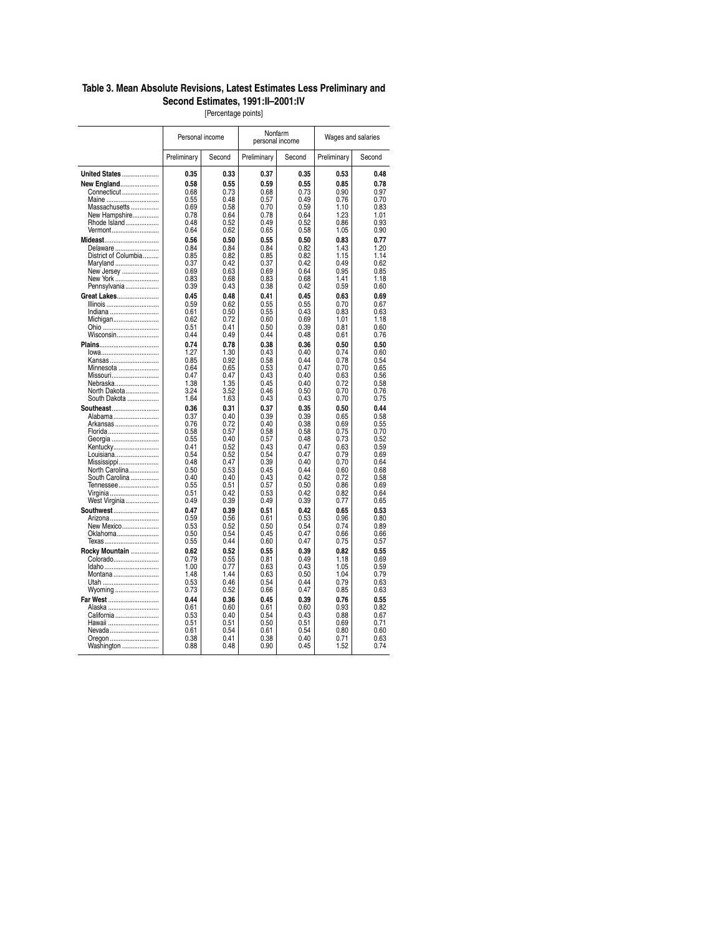#### **Table 3. Mean Absolute Revisions, Latest Estimates Less Preliminary and Second Estimates, 1991:II–2001:IV**

[Percentage points]

|                       | Personal income |        | Nonfarm<br>personal income |        | Wages and salaries |        |
|-----------------------|-----------------|--------|----------------------------|--------|--------------------|--------|
|                       | Preliminary     | Second | Preliminary                | Second | Preliminary        | Second |
| <b>United States </b> | 0.35            | 0.33   | 0.37                       | 0.35   | 0.53               | 0.48   |
| New England           | 0.58            | 0.55   | 0.59                       | 0.55   | 0.85               | 0.78   |
| Connecticut           | 0.68            | 0.73   | 0.68                       | 0.73   | 0.90               | 0.97   |
| Maine                 | 0.55            | 0.48   | 0.57                       | 0.49   | 0.76               | 0.70   |
| Massachusetts         | 0.69            | 0.58   | 0.70                       | 0.59   | 1.10               | 0.83   |
| New Hampshire         | 0.78            | 0.64   | 0.78                       | 0.64   | 1.23               | 1.01   |
| Rhode Island          | 0.48            | 0.52   | 0.49                       | 0.52   | 0.86               | 0.93   |
| Vermont               | 0.64            | 0.62   | 0.65                       | 0.58   | 1.05               | 0.90   |
| Mideast               | 0.56            | 0.50   | 0.55                       | 0.50   | 0.83               | 0.77   |
| Delaware              | 0.84            | 0.84   | 0.84                       | 0.82   | 1.43               | 1.20   |
| District of Columbia  | 0.85            | 0.82   | 0.85                       | 0.82   | 1.15               | 1.14   |
| Maryland              | 0.37            | 0.42   | 0.37                       | 0.42   | 0.49               | 0.62   |
| New Jersey            | 0.69            | 0.63   | 0.69                       | 0.64   | 0.95               | 0.85   |
| New York              | 0.83            | 0.68   | 0.83                       | 0.68   | 1.41               | 1.18   |
| Pennsylvania          | 0.39            | 0.43   | 0.38                       | 0.42   | 0.59               | 0.60   |
| <b>Great Lakes</b>    | 0.45            | 0.48   | 0.41                       | 0.45   | 0.63               | 0.69   |
| Illinois              | 0.59            | 0.62   | 0.55                       | 0.55   | 0.70               | 0.67   |
| Indiana               | 0.61            | 0.50   | 0.55                       | 0.43   | 0.83               | 0.63   |
| Michigan              | 0.62            | 0.72   | 0.60                       | 0.69   | 1.01               | 1.18   |
| Ohio                  | 0.51            | 0.41   | 0.50                       | 0.39   | 0.81               | 0.60   |
| Wisconsin             | 0.44            | 0.49   | 0.44                       | 0.48   | 0.61               | 0.76   |
| Plains                | 0.74            | 0.78   | 0.38                       | 0.36   | 0.50               | 0.50   |
| $lowa$                | 1.27            | 1.30   | 0.43                       | 0.40   | 0.74               | 0.60   |
| Kansas                | 0.85            | 0.92   | 0.58                       | 0.44   | 0.78               | 0.54   |
| Minnesota             | 0.64            | 0.65   | 0.53                       | 0.47   | 0.70               | 0.65   |
| Missouri              | 0.47            | 0.47   | 0.43                       | 0.40   | 0.63               | 0.56   |
| Nebraska              | 1.38            | 1.35   | 0.45                       | 0.40   | 0.72               | 0.58   |
| North Dakota          | 3.24            | 3.52   | 0.46                       | 0.50   | 0.70               | 0.76   |
| South Dakota          | 1.64            | 1.63   | 0.43                       | 0.43   | 0.70               | 0.75   |
| <b>Southeast</b>      | 0.36            | 0.31   | 0.37                       | 0.35   | 0.50               | 0.44   |
| Alabama               | 0.37            | 0.40   | 0.39                       | 0.39   | 0.65               | 0.58   |
| Arkansas              | 0.76            | 0.72   | 0.40                       | 0.38   | 0.69               | 0.55   |
| Florida               | 0.58            | 0.57   | 0.58                       | 0.58   | 0.75               | 0.70   |
| Georgia               | 0.55            | 0.40   | 0.57                       | 0.48   | 0.73               | 0.52   |
| Kentucky              | 0.41            | 0.52   | 0.43                       | 0.47   | 0.63               | 0.59   |
| Louisiana             | 0.54            | 0.52   | 0.54                       | 0.47   | 0.79               | 0.69   |
| Mississippi           | 0.48            | 0.47   | 0.39                       | 0.40   | 0.70               | 0.64   |
| North Carolina        | 0.50            | 0.53   | 0.45                       | 0.44   | 0.60               | 0.68   |
| South Carolina        | 0.40            | 0.40   | 0.43                       | 0.42   | 0.72               | 0.58   |
| Tennessee             | 0.55            | 0.51   | 0.57                       | 0.50   | 0.86               | 0.69   |
| Virginia              | 0.51            | 0.42   | 0.53                       | 0.42   | 0.82               | 0.64   |
| West Virginia         | 0.49            | 0.39   | 0.49                       | 0.39   | 0.77               | 0.65   |
| Southwest             | 0.47            | 0.39   | 0.51                       | 0.42   | 0.65               | 0.53   |
| Arizona               | 0.59            | 0.56   | 0.61                       | 0.53   | 0.96               | 0.80   |
| New Mexico            | 0.53            | 0.52   | 0.50                       | 0.54   | 0.74               | 0.89   |
| Oklahoma              | 0.50            | 0.54   | 0.45                       | 0.47   | 0.66               | 0.66   |
| Texas                 | 0.55            | 0.44   | 0.60                       | 0.47   | 0.75               | 0.57   |
| Rocky Mountain        | 0.62            | 0.52   | 0.55                       | 0.39   | 0.82               | 0.55   |
| Colorado              | 0.79            | 0.55   | 0.81                       | 0.49   | 1.18               | 0.69   |
| Idaho                 | 1.00            | 0.77   | 0.63                       | 0.43   | 1.05               | 0.59   |
| Montana               | 1.48            | 1.44   | 0.63                       | 0.50   | 1.04               | 0.79   |
| Utah                  | 0.53            | 0.46   | 0.54                       | 0.44   | 0.79               | 0.63   |
| Wyoming               | 0.73            | 0.52   | 0.66                       | 0.47   | 0.85               | 0.63   |
| Far West              | 0.44            | 0.36   | 0.45                       | 0.39   | 0.76               | 0.55   |
| Alaska                | 0.61            | 0.60   | 0.61                       | 0.60   | 0.93               | 0.82   |
| California            | 0.53            | 0.40   | 0.54                       | 0.43   | 0.88               | 0.67   |
| Hawaii                | 0.51            | 0.51   | 0.50                       | 0.51   | 0.69               | 0.71   |
| Nevada                | 0.61            | 0.54   | 0.61                       | 0.54   | 0.80               | 0.60   |
| Oregon                | 0.38            | 0.41   | 0.38                       | 0.40   | 0.71               | 0.63   |
| Washington            | 0.88            | 0.48   | 0.90                       | 0.45   | 1.52               | 0.74   |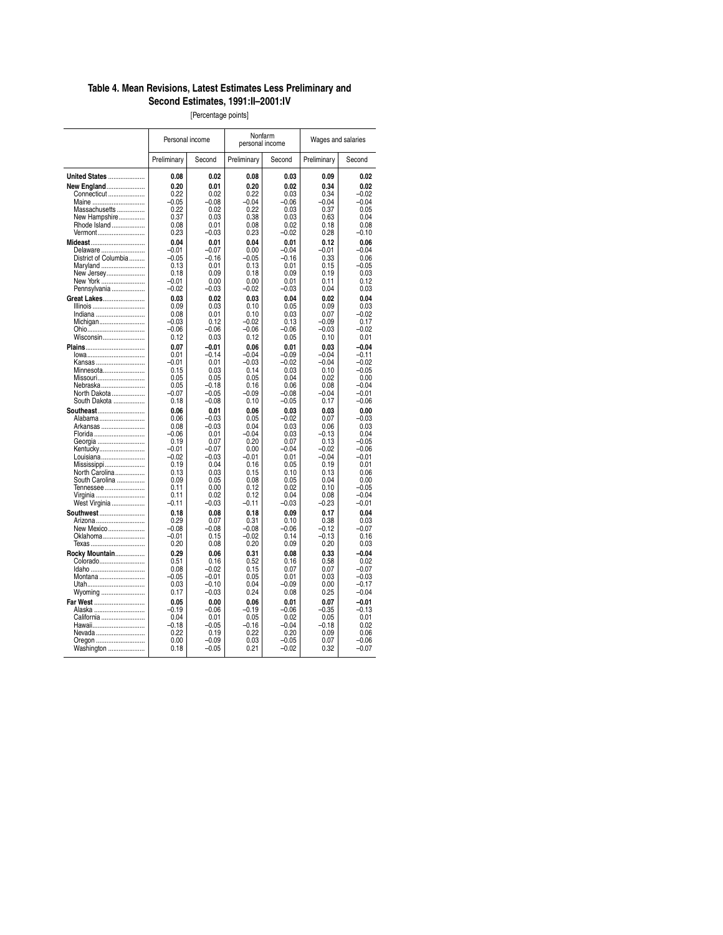### **Table 4. Mean Revisions, Latest Estimates Less Preliminary and Second Estimates, 1991:II–2001:IV**

[Percentage points]

|                                  | Personal income    |              | Nonfarm<br>personal income |              | Wages and salaries |              |
|----------------------------------|--------------------|--------------|----------------------------|--------------|--------------------|--------------|
|                                  | Preliminary        | Second       | Preliminary                | Second       | Preliminary        | Second       |
| <b>United States </b>            | 0.08               | 0.02         | 0.08                       | 0.03         | 0.09               | 0.02         |
| <b>New England</b>               | 0.20               | 0.01         | 0.20                       | 0.02         | 0.34               | 0.02         |
| Connecticut                      | 0.22               | 0.02         | 0.22                       | 0.03         | 0.34               | $-0.02$      |
| Maine                            | $-0.05$            | $-0.08$      | $-0.04$                    | $-0.06$      | $-0.04$            | $-0.04$      |
| Massachusetts                    | 0.22               | 0.02         | 0.22                       | 0.03         | 0.37               | 0.05         |
| New Hampshire                    | 0.37               | 0.03         | 0.38                       | 0.03         | 0.63               | 0.04         |
| Rhode Island                     | 0.08               | 0.01         | 0.08                       | 0.02         | 0.18               | 0.08         |
| Vermont                          | 0.23               | $-0.03$      | 0.23                       | $-0.02$      | 0.28               | $-0.10$      |
| Mideast                          | 0.04               | 0.01         | 0.04                       | 0.01         | 0.12               | 0.06         |
| Delaware                         | $-0.01$            | $-0.07$      | 0.00                       | $-0.04$      | $-0.01$            | $-0.04$      |
| District of Columbia             | $-0.05$            | $-0.16$      | $-0.05$                    | $-0.16$      | 0.33               | 0.06         |
| Maryland                         | 0.13               | 0.01         | 0.13                       | 0.01         | 0.15               | $-0.05$      |
| New Jersey                       | 0.18               | 0.09<br>0.00 | 0.18<br>0.00               | 0.09<br>0.01 | 0.19<br>0.11       | 0.03<br>0.12 |
| New York<br>Pennsylvania         | $-0.01$<br>$-0.02$ | $-0.03$      | $-0.02$                    | $-0.03$      | 0.04               | 0.03         |
|                                  |                    |              |                            |              |                    |              |
| <b>Great Lakes</b>               | 0.03<br>0.09       | 0.02<br>0.03 | 0.03<br>0.10               | 0.04<br>0.05 | 0.02<br>0.09       | 0.04<br>0.03 |
| Illinois<br>Indiana              | 0.08               | 0.01         | 0.10                       | 0.03         | 0.07               | $-0.02$      |
| Michigan                         | $-0.03$            | 0.12         | $-0.02$                    | 0.13         | $-0.09$            | 0.17         |
| Ohio                             | $-0.06$            | $-0.06$      | $-0.06$                    | $-0.06$      | $-0.03$            | $-0.02$      |
| Wisconsin                        | 0.12               | 0.03         | 0.12                       | 0.05         | 0.10               | 0.01         |
| <b>Plains</b>                    | 0.07               | $-0.01$      | 0.06                       | 0.01         | 0.03               | $-0.04$      |
| lowa                             | 0.01               | $-0.14$      | $-0.04$                    | $-0.09$      | $-0.04$            | $-0.11$      |
| Kansas                           | $-0.01$            | 0.01         | $-0.03$                    | $-0.02$      | $-0.04$            | $-0.02$      |
| Minnesota                        | 0.15               | 0.03         | 0.14                       | 0.03         | 0.10               | $-0.05$      |
| Missouri                         | 0.05               | 0.05         | 0.05                       | 0.04         | 0.02               | 0.00         |
| Nebraska                         | 0.05               | $-0.18$      | 0.16                       | 0.06         | 0.08               | $-0.04$      |
| North Dakota                     | $-0.07$            | $-0.05$      | $-0.09$                    | $-0.08$      | $-0.04$            | $-0.01$      |
| South Dakota                     | 0.18               | $-0.08$      | 0.10                       | $-0.05$      | 0.17               | $-0.06$      |
| <b>Southeast</b>                 | 0.06               | 0.01         | 0.06                       | 0.03         | 0.03               | 0.00         |
| Alabama                          | 0.06               | $-0.03$      | 0.05                       | $-0.02$      | 0.07               | $-0.03$      |
| Arkansas                         | 0.08               | $-0.03$      | 0.04                       | 0.03         | 0.06               | 0.03         |
| Florida                          | $-0.06$            | 0.01         | $-0.04$                    | 0.03         | $-0.13$            | 0.04         |
| Georgia                          | 0.19               | 0.07         | 0.20                       | 0.07         | 0.13               | $-0.05$      |
| Kentucky                         | $-0.01$            | $-0.07$      | 0.00                       | $-0.04$      | $-0.02$            | $-0.06$      |
| Louisiana                        | $-0.02$            | $-0.03$      | $-0.01$                    | 0.01         | $-0.04$            | $-0.01$      |
| Mississippi                      | 0.19               | 0.04         | 0.16                       | 0.05         | 0.19               | 0.01         |
| North Carolina<br>South Carolina | 0.13<br>0.09       | 0.03<br>0.05 | 0.15<br>0.08               | 0.10<br>0.05 | 0.13<br>0.04       | 0.06<br>0.00 |
| Tennessee                        | 0.11               | 0.00         | 0.12                       | 0.02         | 0.10               | $-0.05$      |
| Virginia                         | 0.11               | 0.02         | 0.12                       | 0.04         | 0.08               | $-0.04$      |
| West Virginia                    | $-0.11$            | $-0.03$      | $-0.11$                    | $-0.03$      | $-0.23$            | $-0.01$      |
| <b>Southwest </b>                | 0.18               | 0.08         | 0.18                       | 0.09         | 0.17               | 0.04         |
| Arizona                          | 0.29               | 0.07         | 0.31                       | 0.10         | 0.38               | 0.03         |
| New Mexico                       | $-0.08$            | $-0.08$      | $-0.08$                    | $-0.06$      | $-0.12$            | $-0.07$      |
| Oklahoma                         | $-0.01$            | 0.15         | $-0.02$                    | 0.14         | $-0.13$            | 0.16         |
| Texas                            | 0.20               | 0.08         | 0.20                       | 0.09         | 0.20               | 0.03         |
| Rocky Mountain                   | 0.29               | 0.06         | 0.31                       | 0.08         | 0.33               | $-0.04$      |
| Colorado                         | 0.51               | 0.16         | 0.52                       | 0.16         | 0.58               | 0.02         |
| Idaho                            | 0.08               | $-0.02$      | 0.15                       | 0.07         | 0.07               | $-0.07$      |
| Montana                          | $-0.05$            | $-0.01$      | 0.05                       | 0.01         | 0.03               | $-0.03$      |
| Utah                             | 0.03               | $-0.10$      | 0.04                       | $-0.09$      | 0.00               | $-0.17$      |
| Wyoming                          | 0.17               | $-0.03$      | 0.24                       | 0.08         | 0.25               | $-0.04$      |
| <b>Far West </b>                 | 0.05               | 0.00         | 0.06                       | 0.01         | 0.07               | $-0.01$      |
| Alaska                           | $-0.19$            | $-0.06$      | $-0.19$                    | $-0.06$      | $-0.35$            | $-0.13$      |
| California                       | 0.04               | 0.01         | 0.05                       | 0.02         | 0.05               | 0.01         |
| Hawaii                           | $-0.18$            | $-0.05$      | $-0.16$                    | $-0.04$      | $-0.18$            | 0.02         |
| Nevada                           | 0.22               | 0.19         | 0.22                       | 0.20         | 0.09               | 0.06         |
| Oregon                           | 0.00               | $-0.09$      | 0.03                       | $-0.05$      | 0.07               | $-0.06$      |
| Washington                       | 0.18               | -0.05        | 0.21                       | $-0.02$      | 0.32               | $-0.07$      |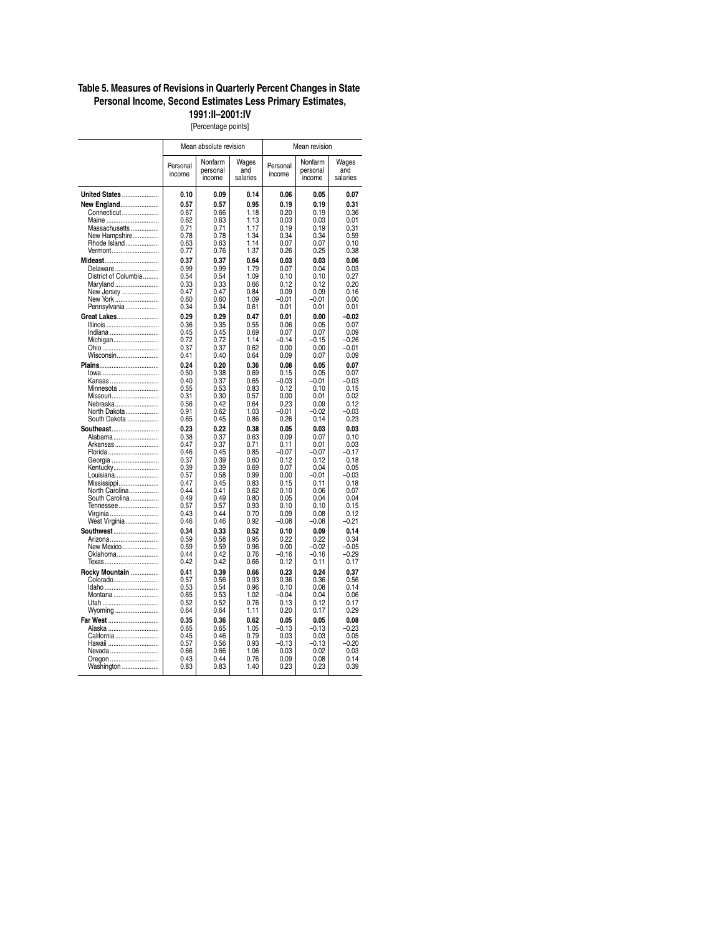### **Table 5. Measures of Revisions in Quarterly Percent Changes in State Personal Income, Second Estimates Less Primary Estimates,**

**1991:II–2001:IV** [Percentage points]

|                              | Mean absolute revision |                               |                          | Mean revision      |                               |                          |  |
|------------------------------|------------------------|-------------------------------|--------------------------|--------------------|-------------------------------|--------------------------|--|
|                              | Personal<br>income     | Nonfarm<br>personal<br>income | Wages<br>and<br>salaries | Personal<br>income | Nonfarm<br>personal<br>income | Wages<br>and<br>salaries |  |
| <b>United States </b>        | 0.10                   | 0.09                          | 0.14                     | 0.06               | 0.05                          | 0.07                     |  |
| <b>New England</b>           | 0.57                   | 0.57                          | 0.95                     | 0.19               | 0.19                          | 0.31                     |  |
| Connecticut                  | 0.67                   | 0.66                          | 1.18                     | 0.20               | 0.19                          | 0.36                     |  |
| Maine<br>Massachusetts       | 0.62<br>0.71           | 0.63<br>0.71                  | 1.13<br>1.17             | 0.03<br>0.19       | 0.03<br>0.19                  | 0.01<br>0.31             |  |
| New Hampshire                | 0.78                   | 0.78                          | 1.34                     | 0.34               | 0.34                          | 0.59                     |  |
| Rhode Island                 | 0.63                   | 0.63                          | 1.14                     | 0.07               | 0.07                          | 0.10                     |  |
| Vermont                      | 0.77                   | 0.76                          | 1.37                     | 0.26               | 0.25                          | 0.38                     |  |
| Mideast<br>Delaware          | 0.37<br>0.99           | 0.37<br>0.99                  | 0.64<br>1.79             | 0.03<br>0.07       | 0.03<br>0.04                  | 0.06<br>0.03             |  |
| District of Columbia         | 0.54                   | 0.54                          | 1.09                     | 0.10               | 0.10                          | 0.27                     |  |
| Maryland                     | 0.33                   | 0.33                          | 0.66                     | 0.12               | 0.12                          | 0.20                     |  |
| New Jersey                   | 0.47<br>0.60           | 0.47<br>0.60                  | 0.84<br>1.09             | 0.09<br>$-0.01$    | 0.09<br>$-0.01$               | 0.16<br>0.00             |  |
| New York<br>Pennsylvania     | 0.34                   | 0.34                          | 0.61                     | 0.01               | 0.01                          | 0.01                     |  |
| Great Lakes                  | 0.29                   | 0.29                          | 0.47                     | 0.01               | 0.00                          | $-0.02$                  |  |
| Illinois                     | 0.36                   | 0.35                          | 0.55                     | 0.06               | 0.05                          | 0.07                     |  |
| Indiana<br>Michigan          | 0.45<br>0.72           | 0.45<br>0.72                  | 0.69<br>1.14             | 0.07<br>$-0.14$    | 0.07<br>$-0.15$               | 0.09<br>$-0.26$          |  |
| Ohio                         | 0.37                   | 0.37                          | 0.62                     | 0.00               | 0.00                          | $-0.01$                  |  |
| Wisconsin                    | 0.41                   | 0.40                          | 0.64                     | 0.09               | 0.07                          | 0.09                     |  |
| Plains                       | 0.24                   | 0.20                          | 0.36                     | 0.08               | 0.05                          | 0.07                     |  |
| lowa<br>Kansas               | 0.50<br>0.40           | 0.38<br>0.37                  | 0.69<br>0.65             | 0.15<br>$-0.03$    | 0.05<br>$-0.01$               | 0.07<br>$-0.03$          |  |
| Minnesota                    | 0.55                   | 0.53                          | 0.83                     | 0.12               | 0.10                          | 0.15                     |  |
| Missouri                     | 0.31                   | 0.30                          | 0.57                     | 0.00               | 0.01                          | 0.02                     |  |
| Nebraska                     | 0.56<br>0.91           | 0.42<br>0.62                  | 0.64<br>1.03             | 0.23<br>$-0.01$    | 0.09<br>$-0.02$               | 0.12<br>$-0.03$          |  |
| North Dakota<br>South Dakota | 0.65                   | 0.45                          | 0.86                     | 0.26               | 0.14                          | 0.23                     |  |
| <b>Southeast</b>             | 0.23                   | 0.22                          | 0.38                     | 0.05               | 0.03                          | 0.03                     |  |
| Alabama                      | 0.38                   | 0.37                          | 0.63                     | 0.09               | 0.07                          | 0.10                     |  |
| Arkansas<br>Florida          | 0.47<br>0.46           | 0.37<br>0.45                  | 0.71<br>0.85             | 0.11<br>$-0.07$    | 0.01<br>$-0.07$               | 0.03<br>$-0.17$          |  |
| Georgia                      | 0.37                   | 0.39                          | 0.60                     | 0.12               | 0.12                          | 0.18                     |  |
| Kentucky                     | 0.39                   | 0.39                          | 0.69                     | 0.07               | 0.04                          | 0.05                     |  |
| Louisiana<br>Mississippi     | 0.57<br>0.47           | 0.58<br>0.45                  | 0.99<br>0.83             | 0.00<br>0.15       | $-0.01$<br>0.11               | $-0.03$<br>0.18          |  |
| North Carolina               | 0.44                   | 0.41                          | 0.62                     | 0.10               | 0.06                          | 0.07                     |  |
| South Carolina               | 0.49                   | 0.49                          | 0.80                     | 0.05               | 0.04                          | 0.04                     |  |
| Tennessee<br>Virginia        | 0.57<br>0.43           | 0.57<br>0.44                  | 0.93<br>0.70             | 0.10<br>0.09       | 0.10<br>0.08                  | 0.15<br>0.12             |  |
| West Virginia                | 0.46                   | 0.46                          | 0.92                     | $-0.08$            | $-0.08$                       | $-0.21$                  |  |
| Southwest                    | 0.34                   | 0.33                          | 0.52                     | 0.10               | 0.09                          | 0.14                     |  |
| Arizona                      | 0.59                   | 0.58                          | 0.95                     | 0.22               | 0.22                          | 0.34                     |  |
| New Mexico<br>Oklahoma       | 0.59<br>0.44           | 0.59<br>0.42                  | 0.96<br>0.76             | 0.00<br>$-0.16$    | $-0.02$<br>$-0.16$            | $-0.05$<br>$-0.29$       |  |
| Texas                        | 0.42                   | 0.42                          | 0.66                     | 0.12               | 0.11                          | 0.17                     |  |
| Rocky Mountain               | 0.41                   | 0.39                          | 0.66                     | 0.23               | 0.24                          | 0.37                     |  |
| Colorado                     | 0.57                   | 0.56                          | 0.93                     | 0.36               | 0.36                          | 0.56                     |  |
| Idaho<br>Montana             | 0.53<br>0.65           | 0.54<br>0.53                  | 0.96<br>1.02             | 0.10<br>$-0.04$    | 0.08<br>0.04                  | 0.14<br>0.06             |  |
| Utah                         | 0.52                   | 0.52                          | 0.76                     | 0.13               | 0.12                          | 0.17                     |  |
| Wyoming                      | 0.64                   | 0.64                          | 1.11                     | 0.20               | 0.17                          | 0.29                     |  |
| Far West                     | 0.35                   | 0.36                          | 0.62                     | 0.05               | 0.05                          | 0.08                     |  |
| Alaska<br>California         | 0.65<br>0.45           | 0.65<br>0.46                  | 1.05<br>0.79             | $-0.13$<br>0.03    | $-0.13$<br>0.03               | $-0.23$<br>0.05          |  |
| Hawaii                       | 0.57                   | 0.56                          | 0.93                     | $-0.13$            | $-0.13$                       | $-0.20$                  |  |
| Nevada                       | 0.66                   | 0.66                          | 1.06                     | 0.03               | 0.02                          | 0.03                     |  |
| Oregon                       | 0.43                   | 0.44                          | 0.76                     | 0.09               | 0.08                          | 0.14                     |  |
| Washington                   | 0.83                   | 0.83                          | 1.40                     | 0.23               | 0.23                          | 0.39                     |  |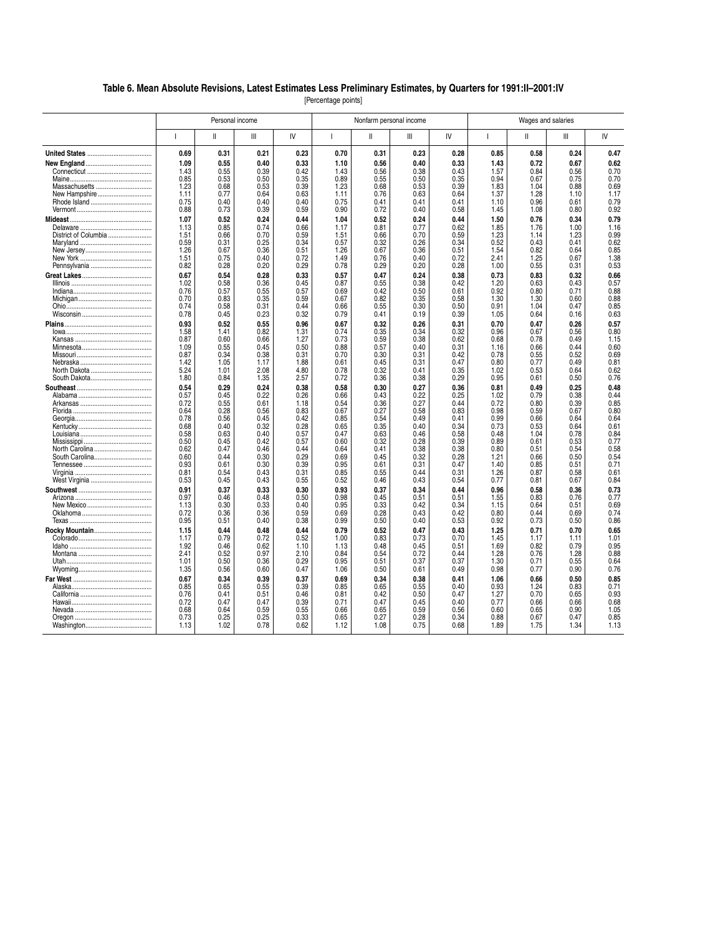#### **Table 6. Mean Absolute Revisions, Latest Estimates Less Preliminary Estimates, by Quarters for 1991:II–2001:IV**

[Percentage points]

|                       |              |              | Personal income |              | Nonfarm personal income |              |              | Wages and salaries |              |              |              |              |
|-----------------------|--------------|--------------|-----------------|--------------|-------------------------|--------------|--------------|--------------------|--------------|--------------|--------------|--------------|
|                       | L            | Ш            | Ш               | IV           | 1                       | Ш            | Ш            | IV                 | ш            | Ш            | Ш            | IV           |
|                       | 0.69         | 0.31         | 0.21            | 0.23         | 0.70                    | 0.31         | 0.23         | 0.28               | 0.85         | 0.58         | 0.24         | 0.47         |
|                       | 1.09         | 0.55         | 0.40            | 0.33         | 1.10                    | 0.56         | 0.40         | 0.33               | 1.43         | 0.72         | 0.67         | 0.62         |
|                       | 1.43         | 0.55         | 0.39            | 0.42         | 1.43                    | 0.56         | 0.38         | 0.43               | 1.57         | 0.84         | 0.56         | 0.70         |
|                       | 0.85         | 0.53         | 0.50            | 0.35         | 0.89                    | 0.55         | 0.50         | 0.35               | 0.94         | 0.67         | 0.75         | 0.70         |
| Massachusetts         | 1.23         | 0.68         | 0.53            | 0.39         | 1.23                    | 0.68         | 0.53         | 0.39               | 1.83         | 1.04         | 0.88         | 0.69         |
| New Hampshire         | 1.11         | 0.77         | 0.64            | 0.63         | 1.11                    | 0.76         | 0.63         | 0.64               | 1.37         | 1.28         | 1.10         | 1.17         |
| Rhode Island          | 0.75         | 0.40         | 0.40            | 0.40         | 0.75                    | 0.41         | 0.41         | 0.41               | 1.10         | 0.96         | 0.61         | 0.79         |
|                       | 0.88         | 0.73         | 0.39            | 0.59         | 0.90                    | 0.72         | 0.40         | 0.58               | 1.45         | 1.08         | 0.80         | 0.92         |
|                       | 1.07         | 0.52         | 0.24            | 0.44         | 1.04                    | 0.52         | 0.24         | 0.44               | 1.50         | 0.76         | 0.34         | 0.79         |
|                       | 1.13         | 0.85         | 0.74            | 0.66         | 1.17                    | 0.81         | 0.77         | 0.62               | 1.85         | 1.76         | 1.00         | 1.16         |
| District of Columbia  | 1.51         | 0.66         | 0.70            | 0.59         | 1.51                    | 0.66         | 0.70         | 0.59               | 1.23         | 1.14         | 1.23         | 0.99         |
|                       | 0.59         | 0.31         | 0.25            | 0.34         | 0.57                    | 0.32         | 0.26         | 0.34               | 0.52         | 0.43         | 0.41         | 0.62         |
|                       | 1.26         | 0.67         | 0.36            | 0.51         | 1.26                    | 0.67         | 0.36         | 0.51               | 1.54         | 0.82         | 0.64         | 0.85         |
|                       | 1.51         | 0.75         | 0.40            | 0.72         | 1.49                    | 0.76         | 0.40         | 0.72               | 2.41         | 1.25         | 0.67         | 1.38         |
|                       | 0.82         | 0.28         | 0.20            | 0.29         | 0.78                    | 0.29         | 0.20         | 0.28               | 1.00         | 0.55         | 0.31         | 0.53         |
|                       | 0.67         | 0.54         | 0.28            | 0.33         | 0.57                    | 0.47         | 0.24         | 0.38               | 0.73         | 0.83         | 0.32         | 0.66         |
|                       | 1.02         | 0.58         | 0.36            | 0.45         | 0.87                    | 0.55         | 0.38         | 0.42               | 1.20         | 0.63         | 0.43         | 0.57         |
|                       | 0.76         | 0.57         | 0.55            | 0.57         | 0.69                    | 0.42         | 0.50         | 0.61               | 0.92         | 0.80         | 0.71         | 0.88         |
|                       | 0.70         | 0.83         | 0.35            | 0.59         | 0.67                    | 0.82         | 0.35         | 0.58               | 1.30         | 1.30         | 0.60         | 0.88         |
|                       | 0.74         | 0.58         | 0.31            | 0.44         | 0.66                    | 0.55         | 0.30         | 0.50               | 0.91         | 1.04         | 0.47         | 0.85         |
|                       | 0.78         | 0.45         | 0.23            | 0.32         | 0.79                    | 0.41         | 0.19         | 0.39               | 1.05         | 0.64         | 0.16         | 0.63         |
|                       | 0.93         | 0.52         | 0.55            | 0.96         | 0.67                    | 0.32         | 0.26         | 0.31               | 0.70         | 0.47         | 0.26         | 0.57         |
|                       | 1.58         | 1.41         | 0.82            | 1.31         | 0.74                    | 0.35         | 0.34         | 0.32               | 0.96         | 0.67         | 0.56         | 0.80         |
|                       | 0.87         | 0.60         | 0.66            | 1.27         | 0.73                    | 0.59         | 0.38         | 0.62               | 0.68         | 0.78         | 0.49         | 1.15         |
|                       | 1.09         | 0.55         | 0.45            | 0.50         | 0.88                    | 0.57         | 0.40         | 0.31               | 1.16         | 0.66         | 0.44         | 0.60         |
|                       | 0.87         | 0.34         | 0.38            | 0.31         | 0.70                    | 0.30         | 0.31         | 0.42               | 0.78         | 0.55         | 0.52         | 0.69         |
|                       | 1.42         | 1.05         | 1.17            | 1.88         | 0.61                    | 0.45         | 0.31         | 0.47               | 0.80         | 0.77         | 0.49         | 0.81         |
|                       | 5.24         | 1.01         | 2.08            | 4.80         | 0.78                    | 0.32         | 0.41         | 0.35               | 1.02         | 0.53         | 0.64         | 0.62         |
|                       | 1.80         | 0.84         | 1.35            | 2.57         | 0.72                    | 0.36         | 0.38         | 0.29               | 0.95         | 0.61         | 0.50         | 0.76         |
|                       | 0.54         | 0.29         | 0.24            | 0.38         | 0.58                    | 0.30         | 0.27         | 0.36               | 0.81         | 0.49         | 0.25         | 0.48         |
|                       | 0.57         | 0.45         | 0.22            | 0.26         | 0.66                    | 0.43         | 0.22         | 0.25               | 1.02         | 0.79         | 0.38         | 0.44         |
|                       | 0.72         | 0.55         | 0.61            | 1.18         | 0.54                    | 0.36         | 0.27         | 0.44               | 0.72         | 0.80         | 0.39         | 0.85         |
|                       | 0.64         | 0.28         | 0.56            | 0.83         | 0.67                    | 0.27         | 0.58         | 0.83               | 0.98         | 0.59         | 0.67         | 0.80         |
|                       | 0.78         | 0.56         | 0.45            | 0.42         | 0.85                    | 0.54         | 0.49         | 0.41               | 0.99         | 0.66         | 0.64         | 0.64         |
|                       | 0.68<br>0.58 | 0.40<br>0.63 | 0.32<br>0.40    | 0.28<br>0.57 | 0.65<br>0.47            | 0.35<br>0.63 | 0.40<br>0.46 | 0.34<br>0.58       | 0.73<br>0.48 | 0.53<br>1.04 | 0.64<br>0.78 | 0.61<br>0.84 |
|                       | 0.50         | 0.45         | 0.42            | 0.57         | 0.60                    | 0.32         | 0.28         | 0.39               | 0.89         | 0.61         | 0.53         | 0.77         |
|                       | 0.62         | 0.47         | 0.46            | 0.44         | 0.64                    | 0.41         | 0.38         | 0.38               | 0.80         | 0.51         | 0.54         | 0.58         |
|                       | 0.60         | 0.44         | 0.30            | 0.29         | 0.69                    | 0.45         | 0.32         | 0.28               | 1.21         | 0.66         | 0.50         | 0.54         |
|                       | 0.93         | 0.61         | 0.30            | 0.39         | 0.95                    | 0.61         | 0.31         | 0.47               | 1.40         | 0.85         | 0.51         | 0.71         |
|                       | 0.81         | 0.54         | 0.43            | 0.31         | 0.85                    | 0.55         | 0.44         | 0.31               | 1.26         | 0.87         | 0.58         | 0.61         |
|                       | 0.53         | 0.45         | 0.43            | 0.55         | 0.52                    | 0.46         | 0.43         | 0.54               | 0.77         | 0.81         | 0.67         | 0.84         |
|                       | 0.91         | 0.37         | 0.33            | 0.30         | 0.93                    | 0.37         | 0.34         | 0.44               | 0.96         | 0.58         | 0.36         | 0.73         |
|                       | 0.97         | 0.46         | 0.48            | 0.50         | 0.98                    | 0.45         | 0.51         | 0.51               | 1.55         | 0.83         | 0.76         | 0.77         |
|                       | 1.13         | 0.30         | 0.33            | 0.40         | 0.95                    | 0.33         | 0.42         | 0.34               | 1.15         | 0.64         | 0.51         | 0.69         |
|                       | 0.72         | 0.36         | 0.36            | 0.59         | 0.69                    | 0.28         | 0.43         | 0.42               | 0.80         | 0.44         | 0.69         | 0.74         |
|                       | 0.95         | 0.51         | 0.40            | 0.38         | 0.99                    | 0.50         | 0.40         | 0.53               | 0.92         | 0.73         | 0.50         | 0.86         |
| <b>Rocky Mountain</b> | 1.15         | 0.44         | 0.48            | 0.44         | 0.79                    | 0.52         | 0.47         | 0.43               | 1.25         | 0.71         | 0.70         | 0.65         |
|                       | 1.17         | 0.79         | 0.72            | 0.52         | 1.00                    | 0.83         | 0.73         | 0.70               | 1.45         | 1.17         | 1.11         | 1.01         |
|                       | 1.92         | 0.46         | 0.62            | 1.10         | 1.13                    | 0.48         | 0.45         | 0.51               | 1.69         | 0.82         | 0.79         | 0.95         |
|                       | 2.41         | 0.52         | 0.97            | 2.10         | 0.84                    | 0.54         | 0.72         | 0.44               | 1.28         | 0.76         | 1.28         | 0.88         |
|                       | 1.01         | 0.50         | 0.36            | 0.29         | 0.95                    | 0.51         | 0.37         | 0.37               | 1.30         | 0.71         | 0.55         | 0.64         |
|                       | 1.35         | 0.56         | 0.60            | 0.47         | 1.06                    | 0.50         | 0.61         | 0.49               | 0.98         | 0.77         | 0.90         | 0.76         |
|                       | 0.67         | 0.34         | 0.39            | 0.37         | 0.69                    | 0.34         | 0.38         | 0.41               | 1.06         | 0.66         | 0.50         | 0.85         |
|                       | 0.85         | 0.65         | 0.55            | 0.39         | 0.85                    | 0.65         | 0.55         | 0.40               | 0.93         | 1.24         | 0.83         | 0.71         |
|                       | 0.76         | 0.41         | 0.51            | 0.46         | 0.81                    | 0.42         | 0.50         | 0.47               | 1.27         | 0.70         | 0.65         | 0.93         |
|                       | 0.72         | 0.47         | 0.47            | 0.39         | 0.71                    | 0.47         | 0.45         | 0.40               | 0.77         | 0.66         | 0.66         | 0.68         |
|                       | 0.68         | 0.64         | 0.59            | 0.55         | 0.66                    | 0.65         | 0.59         | 0.56               | 0.60         | 0.65         | 0.90         | 1.05         |
|                       | 0.73         | 0.25<br>1.02 | 0.25<br>0.78    | 0.33         | 0.65                    | 0.27         | 0.28         | 0.34               | 0.88         | 0.67         | 0.47         | 0.85         |
|                       | 1.13         |              |                 | 0.62         | 1.12                    | 1.08         | 0.75         | 0.68               | 1.89         | 1.75         | 1.34         | 1.13         |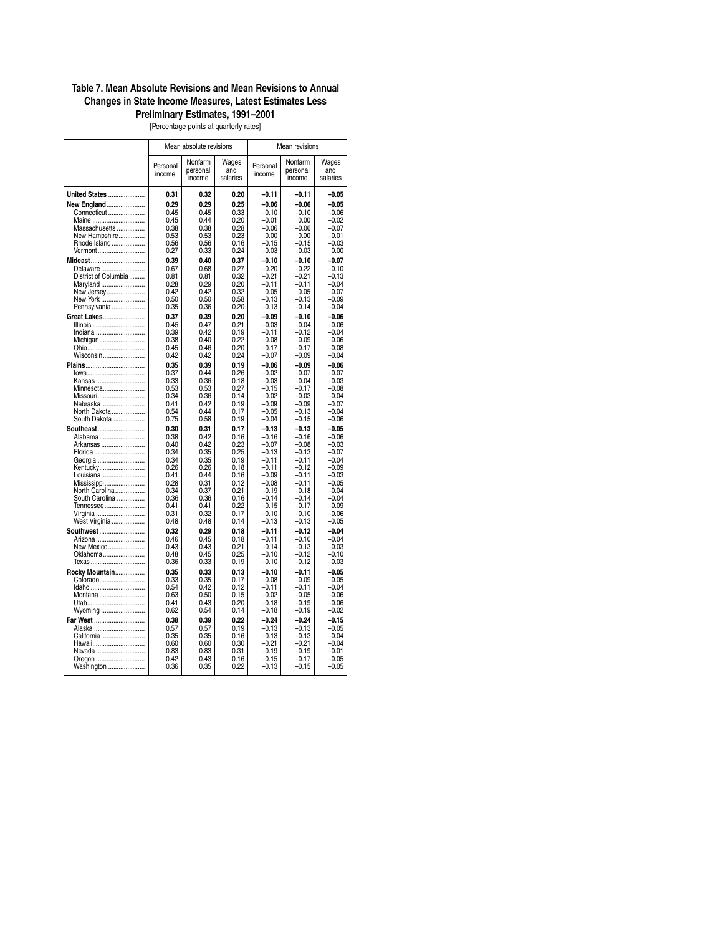### **Table 7. Mean Absolute Revisions and Mean Revisions to Annual Changes in State Income Measures, Latest Estimates Less Preliminary Estimates, 1991–2001**

[Percentage points at quarterly rates]

|                              |                    | Mean absolute revisions       |                          | Mean revisions     |                               |                          |  |
|------------------------------|--------------------|-------------------------------|--------------------------|--------------------|-------------------------------|--------------------------|--|
|                              | Personal<br>income | Nonfarm<br>personal<br>income | Wages<br>and<br>salaries | Personal<br>income | Nonfarm<br>personal<br>income | Wages<br>and<br>salaries |  |
| <b>United States </b>        | 0.31               | 0.32                          | 0.20                     | $-0.11$            | $-0.11$                       | $-0.05$                  |  |
| <b>New England</b>           | 0.29               | 0.29                          | 0.25                     | $-0.06$            | $-0.06$                       | $-0.05$                  |  |
| Connecticut<br>Maine         | 0.45<br>0.45       | 0.45<br>0.44                  | 0.33<br>0.20             | $-0.10$<br>$-0.01$ | $-0.10$<br>0.00               | $-0.06$<br>$-0.02$       |  |
| Massachusetts                | 0.38               | 0.38                          | 0.28                     | $-0.06$            | $-0.06$                       | $-0.07$                  |  |
| New Hampshire                | 0.53               | 0.53                          | 0.23                     | 0.00               | 0.00                          | $-0.01$                  |  |
| Rhode Island<br>Vermont      | 0.56<br>0.27       | 0.56<br>0.33                  | 0.16<br>0.24             | $-0.15$<br>$-0.03$ | $-0.15$<br>$-0.03$            | $-0.03$<br>0.00          |  |
| Mideast                      | 0.39               | 0.40                          | 0.37                     | $-0.10$            | $-0.10$                       | $-0.07$                  |  |
| Delaware                     | 0.67               | 0.68                          | 0.27                     | $-0.20$            | $-0.22$                       | $-0.10$                  |  |
| District of Columbia         | 0.81<br>0.28       | 0.81<br>0.29                  | 0.32<br>0.20             | $-0.21$<br>$-0.11$ | $-0.21$<br>$-0.11$            | $-0.13$<br>$-0.04$       |  |
| Maryland<br>New Jersey       | 0.42               | 0.42                          | 0.32                     | 0.05               | 0.05                          | $-0.07$                  |  |
| New York                     | 0.50               | 0.50                          | 0.58                     | $-0.13$            | $-0.13$                       | $-0.09$                  |  |
| Pennsylvania                 | 0.35               | 0.36                          | 0.20                     | $-0.13$            | $-0.14$                       | $-0.04$                  |  |
| Great Lakes<br>Illinois      | 0.37<br>0.45       | 0.39<br>0.47                  | 0.20<br>0.21             | $-0.09$<br>$-0.03$ | $-0.10$<br>$-0.04$            | $-0.06$<br>$-0.06$       |  |
| Indiana                      | 0.39               | 0.42                          | 0.19                     | $-0.11$            | $-0.12$                       | $-0.04$                  |  |
| Michigan                     | 0.38               | 0.40                          | 0.22                     | $-0.08$            | $-0.09$                       | $-0.06$                  |  |
| Ohio<br>Wisconsin            | 0.45<br>0.42       | 0.46<br>0.42                  | 0.20<br>0.24             | $-0.17$<br>$-0.07$ | $-0.17$<br>$-0.09$            | $-0.08$<br>$-0.04$       |  |
| <b>Plains</b>                | 0.35               | 0.39                          | 0.19                     | $-0.06$            | $-0.09$                       | $-0.06$                  |  |
| lowa                         | 0.37               | 0.44                          | 0.26                     | $-0.02$            | $-0.07$                       | $-0.07$                  |  |
| Kansas<br>Minnesota          | 0.33<br>0.53       | 0.36<br>0.53                  | 0.18<br>0.27             | $-0.03$<br>$-0.15$ | $-0.04$<br>$-0.17$            | $-0.03$<br>$-0.08$       |  |
| Missouri                     | 0.34               | 0.36                          | 0.14                     | $-0.02$            | $-0.03$                       | $-0.04$                  |  |
| Nebraska                     | 0.41               | 0.42                          | 0.19                     | $-0.09$            | $-0.09$                       | $-0.07$                  |  |
| North Dakota<br>South Dakota | 0.54<br>0.75       | 0.44<br>0.58                  | 0.17<br>0.19             | $-0.05$<br>$-0.04$ | $-0.13$<br>$-0.15$            | $-0.04$<br>$-0.06$       |  |
| <b>Southeast</b>             | 0.30               | 0.31                          | 0.17                     | $-0.13$            | $-0.13$                       | $-0.05$                  |  |
| Alabama                      | 0.38               | 0.42                          | 0.16                     | $-0.16$            | $-0.16$                       | $-0.06$                  |  |
| Arkansas<br>Florida          | 0.40<br>0.34       | 0.42<br>0.35                  | 0.23<br>0.25             | $-0.07$<br>$-0.13$ | $-0.08$<br>$-0.13$            | $-0.03$<br>$-0.07$       |  |
| Georgia                      | 0.34               | 0.35                          | 0.19                     | $-0.11$            | $-0.11$                       | $-0.04$                  |  |
| Kentucky                     | 0.26               | 0.26<br>0.44                  | 0.18                     | $-0.11$            | $-0.12$                       | $-0.09$                  |  |
| Louisiana<br>Mississippi     | 0.41<br>0.28       | 0.31                          | 0.16<br>0.12             | $-0.09$<br>$-0.08$ | $-0.11$<br>$-0.11$            | $-0.03$<br>$-0.05$       |  |
| North Carolina               | 0.34               | 0.37                          | 0.21                     | $-0.19$            | $-0.18$                       | $-0.04$                  |  |
| South Carolina<br>Tennessee  | 0.36<br>0.41       | 0.36<br>0.41                  | 0.16<br>0.22             | $-0.14$<br>$-0.15$ | $-0.14$<br>$-0.17$            | $-0.04$<br>$-0.09$       |  |
| Virginia                     | 0.31               | 0.32                          | 0.17                     | $-0.10$            | $-0.10$                       | $-0.06$                  |  |
| West Virginia                | 0.48               | 0.48                          | 0.14                     | $-0.13$            | $-0.13$                       | $-0.05$                  |  |
| <b>Southwest </b>            | 0.32               | 0.29                          | 0.18                     | $-0.11$            | $-0.12$                       | $-0.04$                  |  |
| Arizona<br>New Mexico        | 0.46<br>0.43       | 0.45<br>0.43                  | 0.18<br>0.21             | $-0.11$<br>$-0.14$ | $-0.10$<br>$-0.13$            | $-0.04$<br>$-0.03$       |  |
| Oklahoma                     | 0.48               | 0.45                          | 0.25                     | $-0.10$            | $-0.12$                       | $-0.10$                  |  |
| Texas                        | 0.36               | 0.33                          | 0.19                     | $-0.10$            | $-0.12$                       | $-0.03$                  |  |
| Rocky Mountain<br>Colorado   | 0.35<br>0.33       | 0.33<br>0.35                  | 0.13<br>0.17             | $-0.10$<br>$-0.08$ | $-0.11$<br>$-0.09$            | $-0.05$<br>$-0.05$       |  |
| Idaho                        | 0.54               | 0.42                          | 0.12                     | $-0.11$            | $-0.11$                       | $-0.04$                  |  |
| Montana                      | 0.63               | 0.50                          | 0.15                     | $-0.02$            | $-0.05$                       | $-0.06$                  |  |
| Utah<br>Wyoming              | 0.41<br>0.62       | 0.43<br>0.54                  | 0.20<br>0.14             | $-0.18$<br>$-0.18$ | $-0.19$<br>$-0.19$            | $-0.06$<br>$-0.02$       |  |
| Far West                     | 0.38               | 0.39                          | 0.22                     | $-0.24$            | $-0.24$                       | $-0.15$                  |  |
| Alaska                       | 0.57               | 0.57                          | 0.19                     | $-0.13$            | $-0.13$                       | $-0.05$                  |  |
| California                   | 0.35<br>0.60       | 0.35<br>0.60                  | 0.16<br>0.30             | $-0.13$<br>$-0.21$ | $-0.13$                       | $-0.04$<br>$-0.04$       |  |
| Hawaii<br>Nevada             | 0.83               | 0.83                          | 0.31                     | $-0.19$            | $-0.21$<br>$-0.19$            | $-0.01$                  |  |
| Oregon                       | 0.42               | 0.43                          | 0.16                     | $-0.15$            | $-0.17$                       | $-0.05$                  |  |
| Washington                   | 0.36               | 0.35                          | 0.22                     | $-0.13$            | $-0.15$                       | $-0.05$                  |  |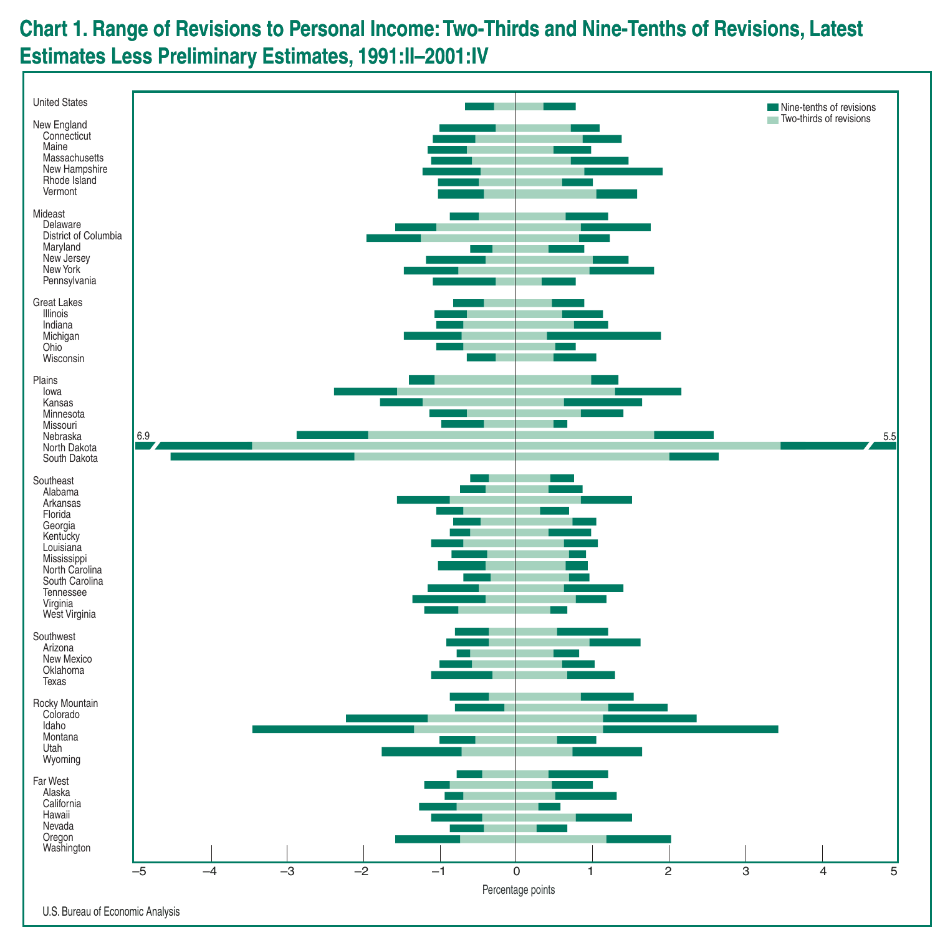# **Chart 1. Range of Revisions to Personal Income:Two-Thirds and Nine-Tenths of Revisions, Latest Estimates Less Preliminary Estimates, 1991:II–2001:IV**



U.S. Bureau of Economic Analysis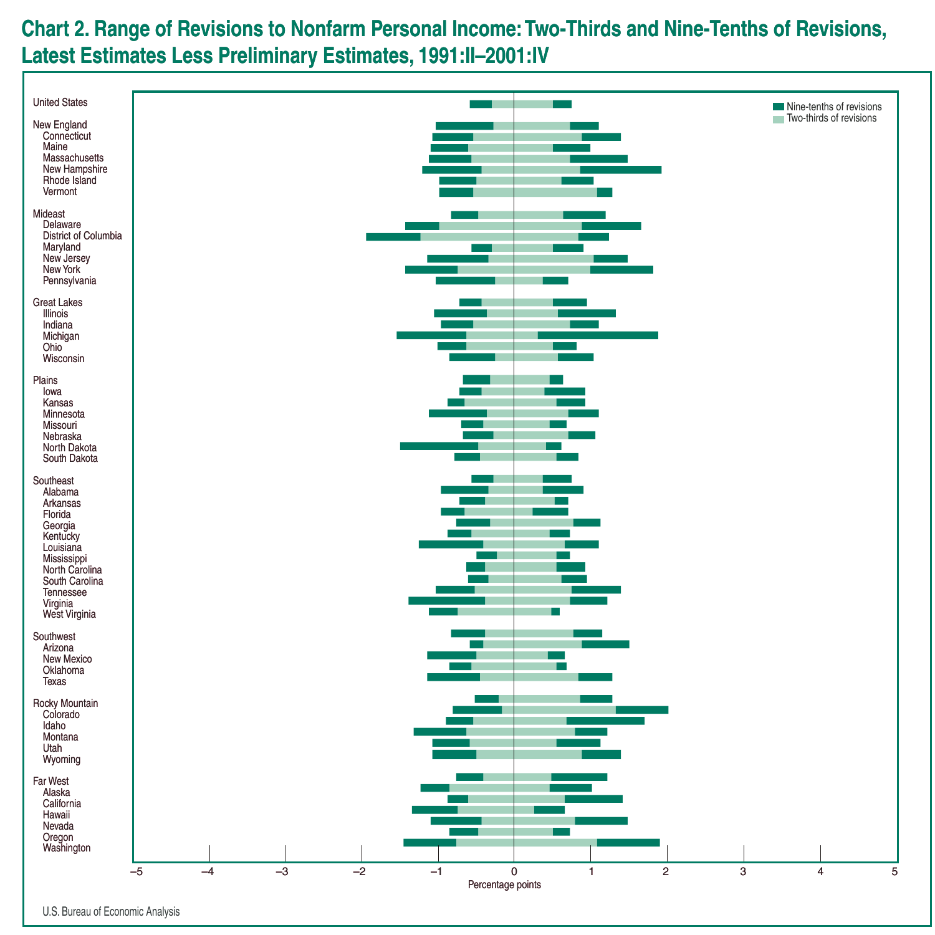# **Chart 2. Range of Revisions to Nonfarm Personal Income:Two-Thirds and Nine-Tenths of Revisions, Latest Estimates Less Preliminary Estimates, 1991:II–2001:IV**



U.S. Bureau of Economic Analysis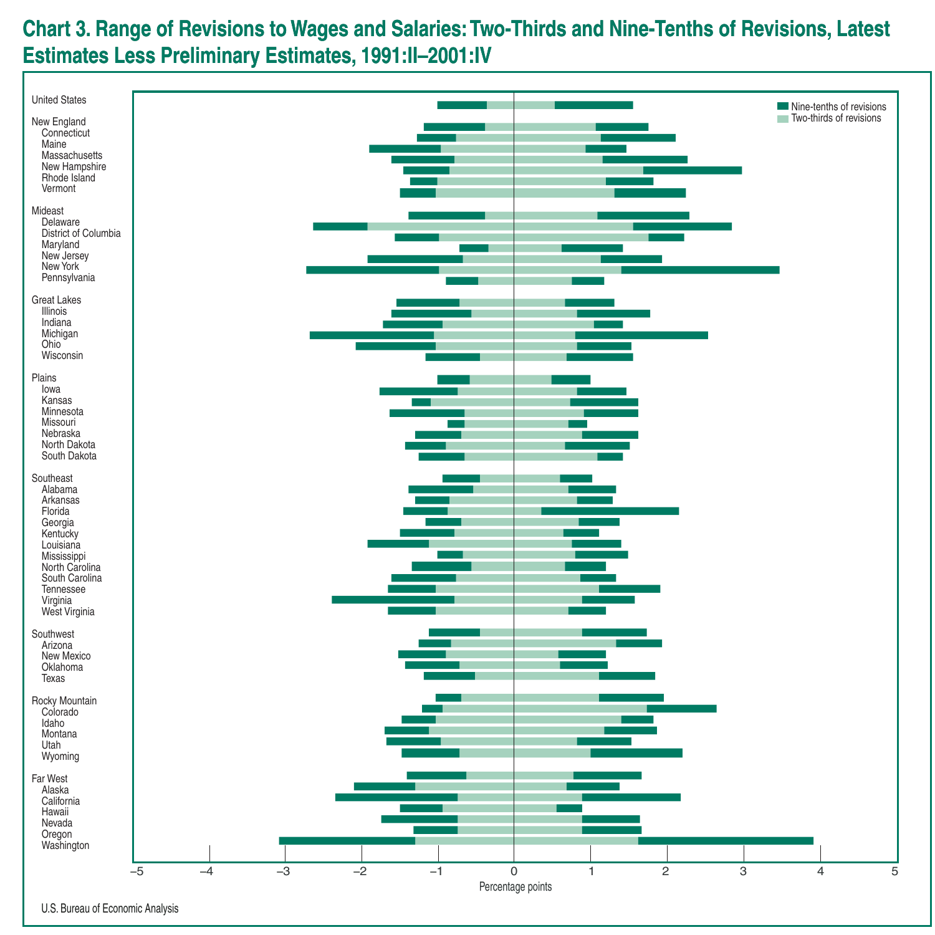# **Chart 3. Range of Revisions to Wages and Salaries:Two-Thirds and Nine-Tenths of Revisions, Latest Estimates Less Preliminary Estimates, 1991:II–2001:IV**



U.S. Bureau of Economic Analysis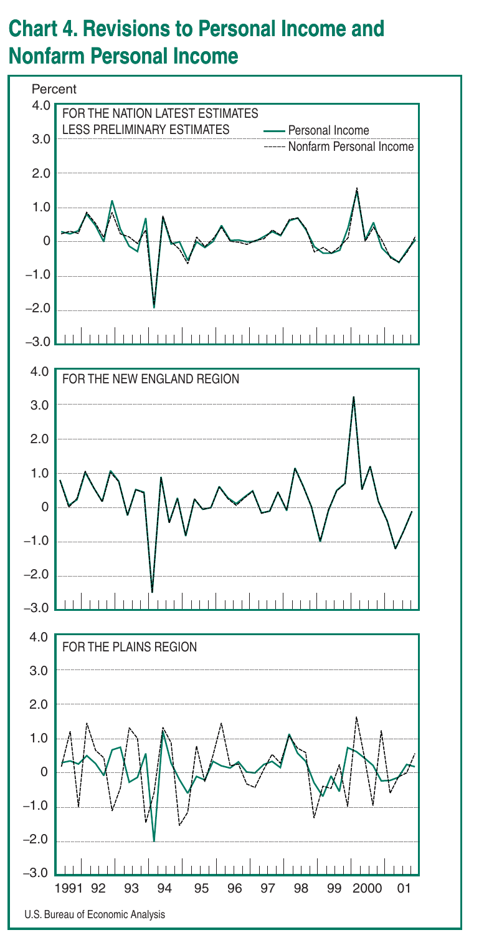## **Chart 4. Revisions to Personal Income and Nonfarm Personal Income**

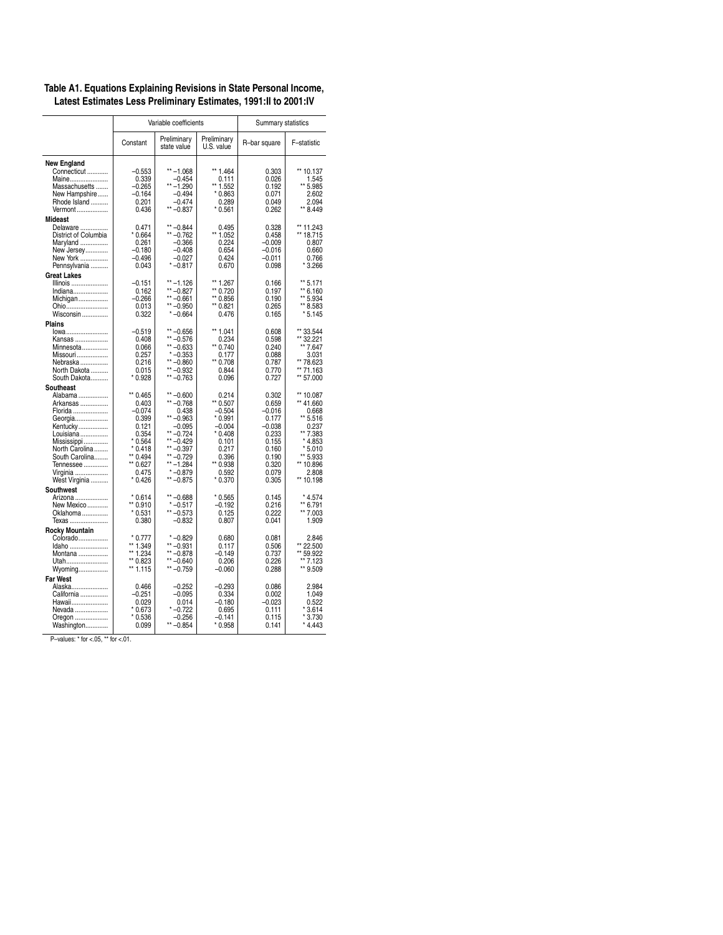|                                                                                                                                                                              |                                                                                                                               | Variable coefficients                                                                                                                                             | Summary statistics                                                                                                            |                                                                                                                |                                                                                                                                         |  |
|------------------------------------------------------------------------------------------------------------------------------------------------------------------------------|-------------------------------------------------------------------------------------------------------------------------------|-------------------------------------------------------------------------------------------------------------------------------------------------------------------|-------------------------------------------------------------------------------------------------------------------------------|----------------------------------------------------------------------------------------------------------------|-----------------------------------------------------------------------------------------------------------------------------------------|--|
|                                                                                                                                                                              | Constant                                                                                                                      | Preliminary<br>state value                                                                                                                                        | Preliminary<br>U.S. value                                                                                                     | R-bar square                                                                                                   | F-statistic                                                                                                                             |  |
| <b>New England</b><br>Connecticut<br>Maine<br>Massachusetts<br>New Hampshire<br>Rhode Island<br>Vermont                                                                      | $-0.553$<br>0.339<br>$-0.265$<br>$-0.164$<br>0.201<br>0.436                                                                   | $*$ -1.068<br>$-0.454$<br>$** -1.290$<br>$-0.494$<br>$-0.474$<br>$** -0.837$                                                                                      | ** 1.464<br>0.111<br>** 1.552<br>$*0.863$<br>0.289<br>$*0.561$                                                                | 0.303<br>0.026<br>0.192<br>0.071<br>0.049<br>0.262                                                             | ** 10.137<br>1.545<br>** 5.985<br>2.602<br>2.094<br>** 8.449                                                                            |  |
| Mideast<br>Delaware<br>District of Columbia<br>Maryland<br>New Jersey<br>New York<br>Pennsylvania                                                                            | 0.471<br>$*0.664$<br>0.261<br>$-0.180$<br>$-0.496$<br>0.043                                                                   | $** -0.844$<br>$** -0.762$<br>$-0.366$<br>$-0.408$<br>$-0.027$<br>$* -0.817$                                                                                      | 0.495<br>** 1.052<br>0.224<br>0.654<br>0.424<br>0.670                                                                         | 0.328<br>0.458<br>$-0.009$<br>$-0.016$<br>$-0.011$<br>0.098                                                    | ** 11.243<br>** 18.715<br>0.807<br>0.660<br>0.766<br>3.266                                                                              |  |
| <b>Great Lakes</b><br>Illinois<br>Indiana<br>Michigan<br>Ohio<br>Wisconsin                                                                                                   | -0.151<br>0.162<br>$-0.266$<br>0.013<br>0.322                                                                                 | $***-1.126$<br>** $-0.827$<br>** $-0.661$<br>$** -0.950$<br>$* -0.664$                                                                                            | ** 1.267<br>** 0.720<br>** 0.856<br>** 0.821<br>0.476                                                                         | 0.166<br>0.197<br>0.190<br>0.265<br>0.165                                                                      | ** 5.171<br>** 6.160<br>** 5.934<br>** 8.583<br>* 5.145                                                                                 |  |
| <b>Plains</b><br>lowa<br>Kansas<br>Minnesota<br>Missouri<br>Nebraska<br>North Dakota<br>South Dakota                                                                         | $-0.519$<br>0.408<br>0.066<br>0.257<br>0.216<br>0.015<br>$*0.928$                                                             | $** -0.656$<br>** -0.576<br>$*$ -0.633<br>$* -0.353$<br>$** -0.860$<br>** $-0.932$<br>$** -0.763$                                                                 | ** 1.041<br>0.234<br>** 0.740<br>0.177<br>** 0.708<br>0.844<br>0.096                                                          | 0.608<br>0.598<br>0.240<br>0.088<br>0.787<br>0.770<br>0.727                                                    | ** 33.544<br>** 32.221<br>** 7.647<br>3.031<br>** 78.623<br>** 71.163<br>** 57.000                                                      |  |
| Southeast<br>Alabama<br>Arkansas<br>Florida<br>Georgia<br>Kentucky<br>Louisiana<br>Mississippi<br>North Carolina<br>South Carolina<br>Tennessee<br>Virginia<br>West Virginia | ** 0.465<br>0.403<br>$-0.074$<br>0.399<br>0.121<br>0.354<br>$*0.564$<br>$*0.418$<br>** 0.494<br>** 0.627<br>0.475<br>$*0.426$ | $** -0.600$<br>** -0.768<br>0.438<br>$*$ -0.963<br>$-0.095$<br>$** -0.724$<br>$** -0.429$<br>$** -0.397$<br>** -0.729<br>$***-1.284$<br>$* -0.879$<br>$** -0.875$ | 0.214<br>** 0.507<br>$-0.504$<br>$*0.991$<br>$-0.004$<br>$*0.408$<br>0.101<br>0.217<br>0.396<br>** 0.938<br>0.592<br>$*0.370$ | 0.302<br>0.659<br>$-0.016$<br>0.177<br>$-0.038$<br>0.233<br>0.155<br>0.160<br>0.190<br>0.320<br>0.079<br>0.305 | ** 10.087<br>** 41.660<br>0.668<br>** 5.516<br>0.237<br>** 7.383<br>$*4.853$<br>$*5.010$<br>** 5.933<br>** 10.896<br>2.808<br>** 10.198 |  |
| Southwest<br>Arizona<br>New Mexico<br>Oklahoma<br>Texas                                                                                                                      | $*0.614$<br>** 0.910<br>$*0.531$<br>0.380                                                                                     | $** -0.688$<br>$* -0.517$<br>$** -0.573$<br>$-0.832$                                                                                                              | $*0.565$<br>$-0.192$<br>0.125<br>0.807                                                                                        | 0.145<br>0.216<br>0.222<br>0.041                                                                               | $*4.574$<br>** 6.791<br>$\star\star$<br>7.003<br>1.909                                                                                  |  |
| <b>Rocky Mountain</b><br>Colorado<br>Idaho<br>Montana<br>Utah<br>Wyoming                                                                                                     | $*0.777$<br>** 1.349<br>** 1.234<br>** 0.823<br>** 1.115                                                                      | $* -0.829$<br>$** -0.931$<br>$***-0.878$<br>$** -0.640$<br>$** -0.759$                                                                                            | 0.680<br>0.117<br>$-0.149$<br>0.206<br>$-0.060$                                                                               | 0.081<br>0.506<br>0.737<br>0.226<br>0.288                                                                      | 2.846<br>** 22.500<br>** 59.922<br>** 7.123<br>** 9.509                                                                                 |  |
| <b>Far West</b><br>Alaska<br>California<br>Hawaii<br>Nevada<br>Oregon<br>Washington                                                                                          | 0.466<br>$-0.251$<br>0.029<br>$*0.673$<br>$*0.536$<br>0.099                                                                   | $-0.252$<br>$-0.095$<br>0.014<br>$* -0.722$<br>$-0.256$<br>$** -0.854$                                                                                            | $-0.293$<br>0.334<br>$-0.180$<br>0.695<br>-0.141<br>$*0.958$                                                                  | 0.086<br>0.002<br>$-0.023$<br>0.111<br>0.115<br>0.141                                                          | 2.984<br>1.049<br>0.522<br>$*3.614$<br>×<br>3.730<br>$*4.443$                                                                           |  |
| P-values: * for <.05, ** for <.01.                                                                                                                                           |                                                                                                                               |                                                                                                                                                                   |                                                                                                                               |                                                                                                                |                                                                                                                                         |  |

### **Table A1. Equations Explaining Revisions in State Personal Income, Latest Estimates Less Preliminary Estimates, 1991:II to 2001:IV**